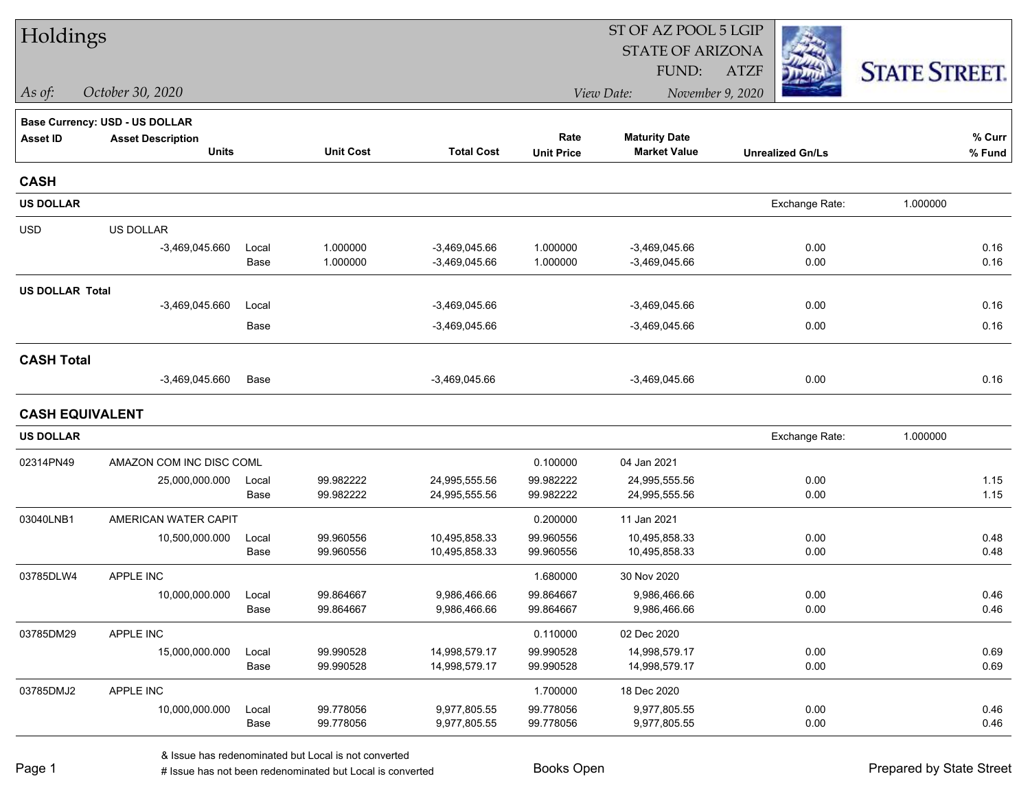| Holdings               |                                       |               |                        |                                | ST OF AZ POOL 5 LGIP   |                                |                         |                      |  |  |
|------------------------|---------------------------------------|---------------|------------------------|--------------------------------|------------------------|--------------------------------|-------------------------|----------------------|--|--|
|                        |                                       |               |                        |                                |                        | <b>STATE OF ARIZONA</b>        |                         |                      |  |  |
|                        |                                       |               |                        |                                |                        | FUND:                          | <b>ATZF</b>             | <b>STATE STREET.</b> |  |  |
| As of:                 | October 30, 2020                      |               |                        |                                |                        | View Date:                     | November 9, 2020        |                      |  |  |
|                        | <b>Base Currency: USD - US DOLLAR</b> |               |                        |                                |                        |                                |                         |                      |  |  |
| <b>Asset ID</b>        | <b>Asset Description</b>              |               |                        |                                | Rate                   | <b>Maturity Date</b>           |                         | % Curr               |  |  |
|                        | <b>Units</b>                          |               | <b>Unit Cost</b>       | <b>Total Cost</b>              | <b>Unit Price</b>      | <b>Market Value</b>            | <b>Unrealized Gn/Ls</b> | % Fund               |  |  |
| <b>CASH</b>            |                                       |               |                        |                                |                        |                                |                         |                      |  |  |
| <b>US DOLLAR</b>       |                                       |               |                        |                                |                        |                                | Exchange Rate:          | 1.000000             |  |  |
| <b>USD</b>             | US DOLLAR                             |               |                        |                                |                        |                                |                         |                      |  |  |
|                        | $-3,469,045.660$                      | Local         | 1.000000               | $-3,469,045.66$                | 1.000000               | $-3,469,045.66$                | 0.00                    | 0.16                 |  |  |
|                        |                                       | Base          | 1.000000               | $-3,469,045.66$                | 1.000000               | $-3,469,045.66$                | 0.00                    | 0.16                 |  |  |
| <b>US DOLLAR Total</b> |                                       |               |                        |                                |                        |                                |                         |                      |  |  |
|                        | $-3,469,045.660$                      | Local         |                        | $-3,469,045.66$                |                        | $-3,469,045.66$                | 0.00                    | 0.16                 |  |  |
|                        |                                       | Base          |                        | $-3,469,045.66$                |                        | $-3,469,045.66$                | 0.00                    | 0.16                 |  |  |
| <b>CASH Total</b>      |                                       |               |                        |                                |                        |                                |                         |                      |  |  |
|                        | $-3,469,045.660$                      | Base          |                        | $-3,469,045.66$                |                        | $-3,469,045.66$                | 0.00                    | 0.16                 |  |  |
| <b>CASH EQUIVALENT</b> |                                       |               |                        |                                |                        |                                |                         |                      |  |  |
| <b>US DOLLAR</b>       |                                       |               |                        |                                |                        |                                | Exchange Rate:          | 1.000000             |  |  |
| 02314PN49              | AMAZON COM INC DISC COML              |               |                        |                                | 0.100000               | 04 Jan 2021                    |                         |                      |  |  |
|                        | 25,000,000.000                        | Local         | 99.982222              | 24,995,555.56                  | 99.982222              | 24,995,555.56                  | 0.00                    | 1.15                 |  |  |
|                        |                                       | Base          | 99.982222              | 24,995,555.56                  | 99.982222              | 24,995,555.56                  | 0.00                    | 1.15                 |  |  |
| 03040LNB1              | AMERICAN WATER CAPIT                  |               |                        |                                | 0.200000               | 11 Jan 2021                    |                         |                      |  |  |
|                        | 10,500,000.000                        | Local         | 99.960556              | 10,495,858.33                  | 99.960556              | 10,495,858.33                  | 0.00                    | 0.48                 |  |  |
|                        |                                       | Base          | 99.960556              | 10,495,858.33                  | 99.960556              | 10,495,858.33                  | 0.00                    | 0.48                 |  |  |
| 03785DLW4              | APPLE INC                             |               |                        |                                | 1.680000               | 30 Nov 2020                    |                         |                      |  |  |
|                        | 10,000,000.000                        | Local<br>Base | 99.864667<br>99.864667 | 9,986,466.66<br>9,986,466.66   | 99.864667<br>99.864667 | 9,986,466.66<br>9,986,466.66   | 0.00<br>0.00            | 0.46<br>0.46         |  |  |
|                        |                                       |               |                        |                                |                        |                                |                         |                      |  |  |
| 03785DM29              | APPLE INC                             |               |                        |                                | 0.110000               | 02 Dec 2020                    |                         |                      |  |  |
|                        | 15,000,000.000                        | Local<br>Base | 99.990528<br>99.990528 | 14,998,579.17<br>14,998,579.17 | 99.990528<br>99.990528 | 14,998,579.17<br>14,998,579.17 | 0.00<br>0.00            | 0.69<br>0.69         |  |  |
|                        |                                       |               |                        |                                |                        |                                |                         |                      |  |  |
| 03785DMJ2              | APPLE INC<br>10,000,000.000           | Local         | 99.778056              | 9,977,805.55                   | 1.700000<br>99.778056  | 18 Dec 2020<br>9,977,805.55    | 0.00                    | 0.46                 |  |  |
|                        |                                       | Base          | 99.778056              | 9,977,805.55                   | 99.778056              | 9,977,805.55                   | 0.00                    | 0.46                 |  |  |
|                        |                                       |               |                        |                                |                        |                                |                         |                      |  |  |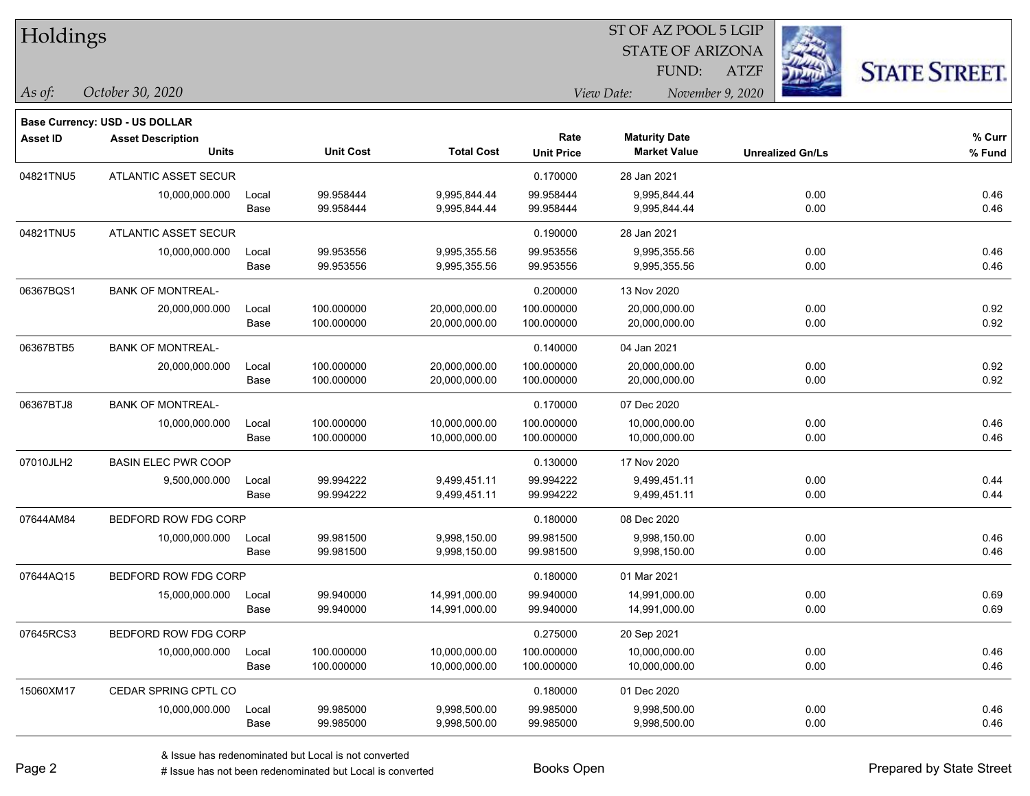| Holdings        |                                                                   |       |                  |                   |                   |                      | ST OF AZ POOL 5 LGIP    |                         |                      |
|-----------------|-------------------------------------------------------------------|-------|------------------|-------------------|-------------------|----------------------|-------------------------|-------------------------|----------------------|
|                 |                                                                   |       |                  |                   |                   |                      | <b>STATE OF ARIZONA</b> |                         |                      |
|                 |                                                                   |       |                  |                   |                   | FUND:                | <b>ATZF</b>             |                         | <b>STATE STREET.</b> |
| As of:          | October 30, 2020                                                  |       |                  |                   |                   | View Date:           | November 9, 2020        |                         |                      |
|                 |                                                                   |       |                  |                   |                   |                      |                         |                         |                      |
| <b>Asset ID</b> | <b>Base Currency: USD - US DOLLAR</b><br><b>Asset Description</b> |       |                  |                   | Rate              | <b>Maturity Date</b> |                         |                         | % Curr               |
|                 | <b>Units</b>                                                      |       | <b>Unit Cost</b> | <b>Total Cost</b> | <b>Unit Price</b> | <b>Market Value</b>  |                         | <b>Unrealized Gn/Ls</b> | % Fund               |
| 04821TNU5       | <b>ATLANTIC ASSET SECUR</b>                                       |       |                  |                   | 0.170000          | 28 Jan 2021          |                         |                         |                      |
|                 | 10,000,000.000                                                    | Local | 99.958444        | 9,995,844.44      | 99.958444         | 9,995,844.44         |                         | 0.00                    | 0.46                 |
|                 |                                                                   | Base  | 99.958444        | 9,995,844.44      | 99.958444         | 9,995,844.44         |                         | 0.00                    | 0.46                 |
| 04821TNU5       | <b>ATLANTIC ASSET SECUR</b>                                       |       |                  |                   | 0.190000          | 28 Jan 2021          |                         |                         |                      |
|                 | 10,000,000.000                                                    | Local | 99.953556        | 9,995,355.56      | 99.953556         | 9,995,355.56         |                         | 0.00                    | 0.46                 |
|                 |                                                                   | Base  | 99.953556        | 9,995,355.56      | 99.953556         | 9,995,355.56         |                         | 0.00                    | 0.46                 |
| 06367BQS1       | <b>BANK OF MONTREAL-</b>                                          |       |                  |                   | 0.200000          | 13 Nov 2020          |                         |                         |                      |
|                 | 20,000,000.000                                                    | Local | 100.000000       | 20,000,000.00     | 100.000000        | 20,000,000.00        |                         | 0.00                    | 0.92                 |
|                 |                                                                   | Base  | 100.000000       | 20,000,000.00     | 100.000000        | 20,000,000.00        |                         | 0.00                    | 0.92                 |
| 06367BTB5       | <b>BANK OF MONTREAL-</b>                                          |       |                  |                   | 0.140000          | 04 Jan 2021          |                         |                         |                      |
|                 | 20,000,000.000                                                    | Local | 100.000000       | 20,000,000.00     | 100.000000        | 20,000,000.00        |                         | 0.00                    | 0.92                 |
|                 |                                                                   | Base  | 100.000000       | 20,000,000.00     | 100.000000        | 20,000,000.00        |                         | 0.00                    | 0.92                 |
| 06367BTJ8       | <b>BANK OF MONTREAL-</b>                                          |       |                  |                   | 0.170000          | 07 Dec 2020          |                         |                         |                      |
|                 | 10,000,000.000                                                    | Local | 100.000000       | 10,000,000.00     | 100.000000        | 10,000,000.00        |                         | 0.00                    | 0.46                 |
|                 |                                                                   | Base  | 100.000000       | 10,000,000.00     | 100.000000        | 10,000,000.00        |                         | 0.00                    | 0.46                 |
| 07010JLH2       | <b>BASIN ELEC PWR COOP</b>                                        |       |                  |                   | 0.130000          | 17 Nov 2020          |                         |                         |                      |
|                 | 9,500,000.000                                                     | Local | 99.994222        | 9,499,451.11      | 99.994222         | 9,499,451.11         |                         | 0.00                    | 0.44                 |
|                 |                                                                   | Base  | 99.994222        | 9,499,451.11      | 99.994222         | 9,499,451.11         |                         | 0.00                    | 0.44                 |
| 07644AM84       | BEDFORD ROW FDG CORP                                              |       |                  |                   | 0.180000          | 08 Dec 2020          |                         |                         |                      |
|                 | 10,000,000.000                                                    | Local | 99.981500        | 9,998,150.00      | 99.981500         | 9,998,150.00         |                         | 0.00                    | 0.46                 |
|                 |                                                                   | Base  | 99.981500        | 9,998,150.00      | 99.981500         | 9,998,150.00         |                         | 0.00                    | 0.46                 |
| 07644AQ15       | BEDFORD ROW FDG CORP                                              |       |                  |                   | 0.180000          | 01 Mar 2021          |                         |                         |                      |
|                 | 15,000,000.000                                                    | Local | 99.940000        | 14,991,000.00     | 99.940000         | 14,991,000.00        |                         | 0.00                    | 0.69                 |
|                 |                                                                   | Base  | 99.940000        | 14,991,000.00     | 99.940000         | 14,991,000.00        |                         | 0.00                    | 0.69                 |
| 07645RCS3       | BEDFORD ROW FDG CORP                                              |       |                  |                   | 0.275000          | 20 Sep 2021          |                         |                         |                      |
|                 | 10,000,000.000                                                    | Local | 100.000000       | 10,000,000.00     | 100.000000        | 10,000,000.00        |                         | 0.00                    | 0.46                 |
|                 |                                                                   | Base  | 100.000000       | 10,000,000.00     | 100.000000        | 10,000,000.00        |                         | 0.00                    | 0.46                 |
| 15060XM17       | CEDAR SPRING CPTL CO                                              |       |                  |                   | 0.180000          | 01 Dec 2020          |                         |                         |                      |
|                 | 10,000,000.000                                                    | Local | 99.985000        | 9,998,500.00      | 99.985000         | 9,998,500.00         |                         | 0.00                    | 0.46                 |
|                 |                                                                   | Base  | 99.985000        | 9,998,500.00      | 99.985000         | 9,998,500.00         |                         | 0.00                    | 0.46                 |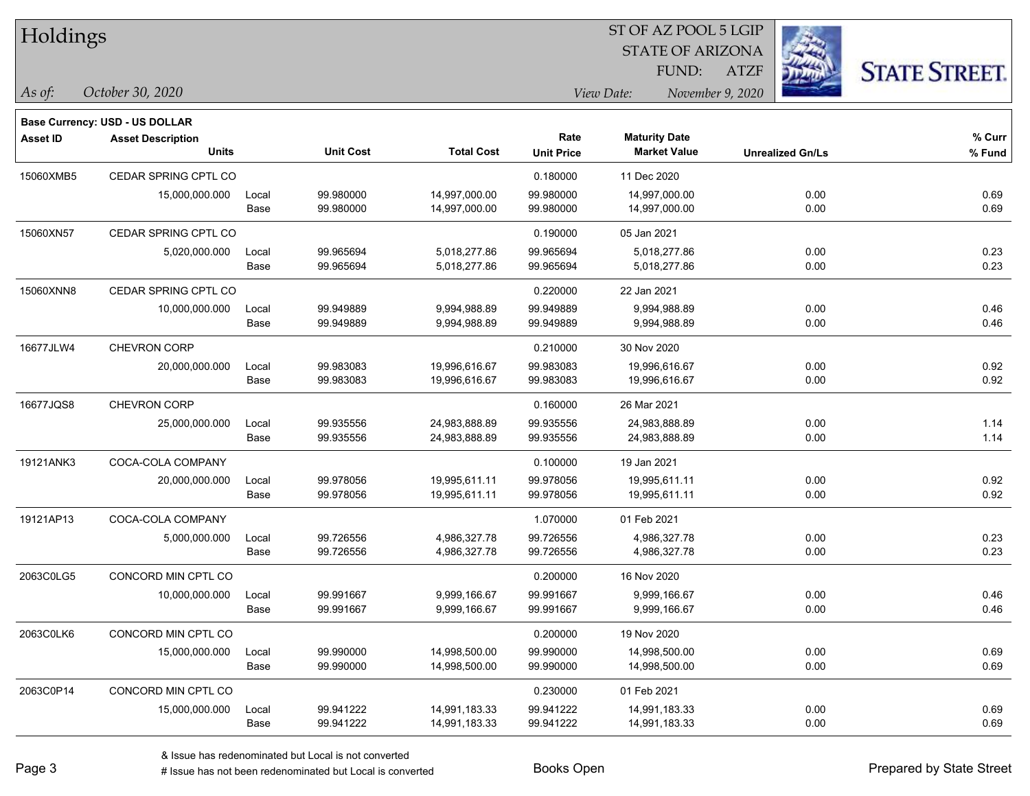| Holdings        |                                       |       |                  |                   |                   | ST OF AZ POOL 5 LGIP           |                         |                      |  |
|-----------------|---------------------------------------|-------|------------------|-------------------|-------------------|--------------------------------|-------------------------|----------------------|--|
|                 |                                       |       |                  |                   |                   | <b>STATE OF ARIZONA</b>        |                         |                      |  |
|                 |                                       |       |                  |                   |                   | FUND:                          | <b>ATZF</b>             | <b>STATE STREET.</b> |  |
| As of:          | October 30, 2020                      |       |                  |                   |                   | View Date:<br>November 9, 2020 |                         |                      |  |
|                 | <b>Base Currency: USD - US DOLLAR</b> |       |                  |                   |                   |                                |                         |                      |  |
| <b>Asset ID</b> | <b>Asset Description</b>              |       |                  |                   | Rate              | <b>Maturity Date</b>           |                         | % Curr               |  |
|                 | <b>Units</b>                          |       | <b>Unit Cost</b> | <b>Total Cost</b> | <b>Unit Price</b> | <b>Market Value</b>            | <b>Unrealized Gn/Ls</b> | % Fund               |  |
| 15060XMB5       | CEDAR SPRING CPTL CO                  |       |                  |                   | 0.180000          | 11 Dec 2020                    |                         |                      |  |
|                 | 15,000,000.000                        | Local | 99.980000        | 14,997,000.00     | 99.980000         | 14,997,000.00                  | 0.00                    | 0.69                 |  |
|                 |                                       | Base  | 99.980000        | 14,997,000.00     | 99.980000         | 14,997,000.00                  | 0.00                    | 0.69                 |  |
| 15060XN57       | CEDAR SPRING CPTL CO                  |       |                  |                   | 0.190000          | 05 Jan 2021                    |                         |                      |  |
|                 | 5,020,000.000                         | Local | 99.965694        | 5,018,277.86      | 99.965694         | 5,018,277.86                   | 0.00                    | 0.23                 |  |
|                 |                                       | Base  | 99.965694        | 5,018,277.86      | 99.965694         | 5,018,277.86                   | 0.00                    | 0.23                 |  |
| 15060XNN8       | CEDAR SPRING CPTL CO                  |       |                  |                   | 0.220000          | 22 Jan 2021                    |                         |                      |  |
|                 | 10,000,000.000                        | Local | 99.949889        | 9,994,988.89      | 99.949889         | 9,994,988.89                   | 0.00                    | 0.46                 |  |
|                 |                                       | Base  | 99.949889        | 9,994,988.89      | 99.949889         | 9,994,988.89                   | 0.00                    | 0.46                 |  |
| 16677JLW4       | <b>CHEVRON CORP</b>                   |       |                  |                   | 0.210000          | 30 Nov 2020                    |                         |                      |  |
|                 | 20,000,000.000                        | Local | 99.983083        | 19,996,616.67     | 99.983083         | 19,996,616.67                  | 0.00                    | 0.92                 |  |
|                 |                                       | Base  | 99.983083        | 19,996,616.67     | 99.983083         | 19,996,616.67                  | 0.00                    | 0.92                 |  |
| 16677JQS8       | <b>CHEVRON CORP</b>                   |       |                  |                   | 0.160000          | 26 Mar 2021                    |                         |                      |  |
|                 | 25,000,000.000                        | Local | 99.935556        | 24,983,888.89     | 99.935556         | 24,983,888.89                  | 0.00                    | 1.14                 |  |
|                 |                                       | Base  | 99.935556        | 24,983,888.89     | 99.935556         | 24,983,888.89                  | 0.00                    | 1.14                 |  |
| 19121ANK3       | COCA-COLA COMPANY                     |       |                  |                   | 0.100000          | 19 Jan 2021                    |                         |                      |  |
|                 | 20,000,000.000                        | Local | 99.978056        | 19,995,611.11     | 99.978056         | 19,995,611.11                  | 0.00                    | 0.92                 |  |
|                 |                                       | Base  | 99.978056        | 19,995,611.11     | 99.978056         | 19,995,611.11                  | 0.00                    | 0.92                 |  |
| 19121AP13       | COCA-COLA COMPANY                     |       |                  |                   | 1.070000          | 01 Feb 2021                    |                         |                      |  |
|                 | 5,000,000.000                         | Local | 99.726556        | 4,986,327.78      | 99.726556         | 4,986,327.78                   | 0.00                    | 0.23                 |  |
|                 |                                       | Base  | 99.726556        | 4,986,327.78      | 99.726556         | 4,986,327.78                   | 0.00                    | 0.23                 |  |
| 2063C0LG5       | CONCORD MIN CPTL CO                   |       |                  |                   | 0.200000          | 16 Nov 2020                    |                         |                      |  |
|                 | 10,000,000.000                        | Local | 99.991667        | 9,999,166.67      | 99.991667         | 9,999,166.67                   | 0.00                    | 0.46                 |  |
|                 |                                       | Base  | 99.991667        | 9,999,166.67      | 99.991667         | 9,999,166.67                   | 0.00                    | 0.46                 |  |
| 2063C0LK6       | CONCORD MIN CPTL CO                   |       |                  |                   | 0.200000          | 19 Nov 2020                    |                         |                      |  |
|                 | 15,000,000.000                        | Local | 99.990000        | 14,998,500.00     | 99.990000         | 14,998,500.00                  | 0.00                    | 0.69                 |  |
|                 |                                       | Base  | 99.990000        | 14,998,500.00     | 99.990000         | 14,998,500.00                  | 0.00                    | 0.69                 |  |
| 2063C0P14       | CONCORD MIN CPTL CO                   |       |                  |                   | 0.230000          | 01 Feb 2021                    |                         |                      |  |
|                 | 15,000,000.000                        | Local | 99.941222        | 14,991,183.33     | 99.941222         | 14,991,183.33                  | 0.00                    | 0.69                 |  |
|                 |                                       | Base  | 99.941222        | 14,991,183.33     | 99.941222         | 14,991,183.33                  | 0.00                    | 0.69                 |  |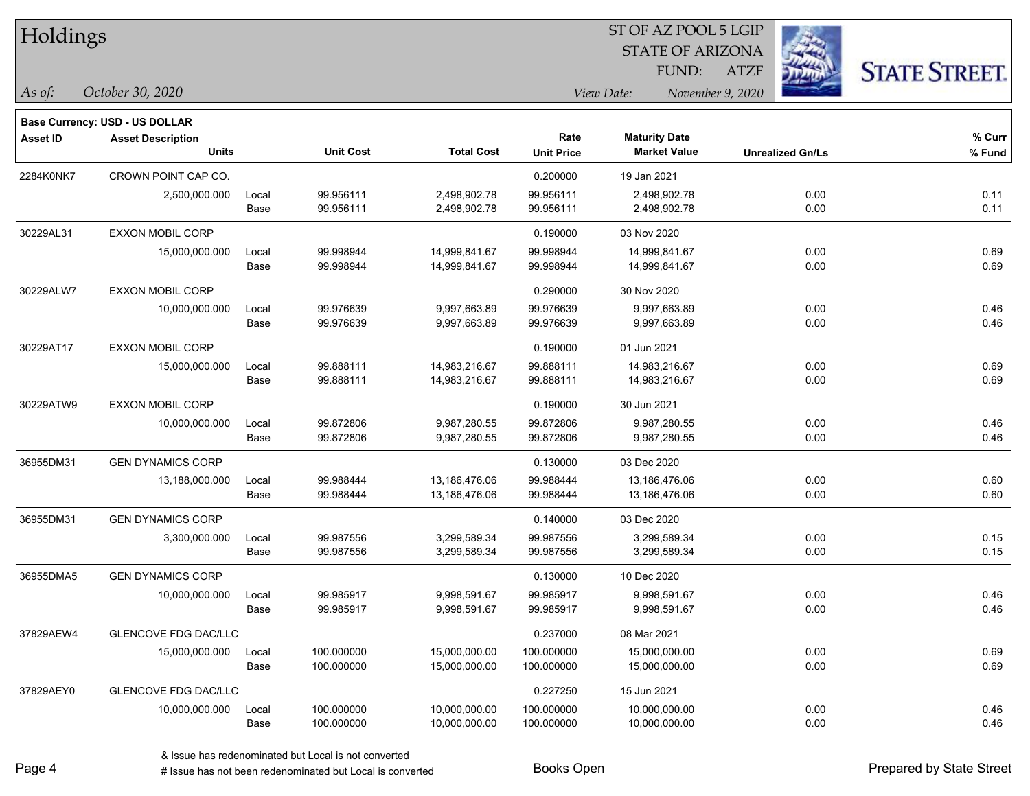| Holdings        |                                |       |                  |                   | ST OF AZ POOL 5 LGIP |                         |                         |                      |  |  |
|-----------------|--------------------------------|-------|------------------|-------------------|----------------------|-------------------------|-------------------------|----------------------|--|--|
|                 |                                |       |                  |                   |                      | <b>STATE OF ARIZONA</b> |                         |                      |  |  |
|                 |                                |       |                  |                   |                      | FUND:                   | ATZF                    | <b>STATE STREET.</b> |  |  |
| As of:          | October 30, 2020               |       |                  |                   |                      | View Date:              | November 9, 2020        |                      |  |  |
|                 | Base Currency: USD - US DOLLAR |       |                  |                   |                      |                         |                         |                      |  |  |
| <b>Asset ID</b> | <b>Asset Description</b>       |       |                  |                   | Rate                 | <b>Maturity Date</b>    |                         | % Curr               |  |  |
|                 | <b>Units</b>                   |       | <b>Unit Cost</b> | <b>Total Cost</b> | <b>Unit Price</b>    | <b>Market Value</b>     | <b>Unrealized Gn/Ls</b> | % Fund               |  |  |
| 2284K0NK7       | CROWN POINT CAP CO.            |       |                  |                   | 0.200000             | 19 Jan 2021             |                         |                      |  |  |
|                 | 2,500,000.000                  | Local | 99.956111        | 2,498,902.78      | 99.956111            | 2,498,902.78            | 0.00                    | 0.11                 |  |  |
|                 |                                | Base  | 99.956111        | 2,498,902.78      | 99.956111            | 2,498,902.78            | 0.00                    | 0.11                 |  |  |
| 30229AL31       | <b>EXXON MOBIL CORP</b>        |       |                  |                   | 0.190000             | 03 Nov 2020             |                         |                      |  |  |
|                 | 15,000,000.000                 | Local | 99.998944        | 14,999,841.67     | 99.998944            | 14,999,841.67           | 0.00                    | 0.69                 |  |  |
|                 |                                | Base  | 99.998944        | 14,999,841.67     | 99.998944            | 14,999,841.67           | 0.00                    | 0.69                 |  |  |
| 30229ALW7       | EXXON MOBIL CORP               |       |                  |                   | 0.290000             | 30 Nov 2020             |                         |                      |  |  |
|                 | 10,000,000.000                 | Local | 99.976639        | 9,997,663.89      | 99.976639            | 9,997,663.89            | 0.00                    | 0.46                 |  |  |
|                 |                                | Base  | 99.976639        | 9,997,663.89      | 99.976639            | 9,997,663.89            | 0.00                    | 0.46                 |  |  |
| 30229AT17       | EXXON MOBIL CORP               |       |                  |                   | 0.190000             | 01 Jun 2021             |                         |                      |  |  |
|                 | 15,000,000.000                 | Local | 99.888111        | 14,983,216.67     | 99.888111            | 14,983,216.67           | 0.00                    | 0.69                 |  |  |
|                 |                                | Base  | 99.888111        | 14,983,216.67     | 99.888111            | 14,983,216.67           | 0.00                    | 0.69                 |  |  |
| 30229ATW9       | <b>EXXON MOBIL CORP</b>        |       |                  |                   | 0.190000             | 30 Jun 2021             |                         |                      |  |  |
|                 | 10,000,000.000                 | Local | 99.872806        | 9,987,280.55      | 99.872806            | 9,987,280.55            | 0.00                    | 0.46                 |  |  |
|                 |                                | Base  | 99.872806        | 9,987,280.55      | 99.872806            | 9,987,280.55            | 0.00                    | 0.46                 |  |  |
| 36955DM31       | <b>GEN DYNAMICS CORP</b>       |       |                  |                   | 0.130000             | 03 Dec 2020             |                         |                      |  |  |
|                 | 13,188,000.000                 | Local | 99.988444        | 13,186,476.06     | 99.988444            | 13,186,476.06           | 0.00                    | 0.60                 |  |  |
|                 |                                | Base  | 99.988444        | 13,186,476.06     | 99.988444            | 13,186,476.06           | 0.00                    | 0.60                 |  |  |
| 36955DM31       | <b>GEN DYNAMICS CORP</b>       |       |                  |                   | 0.140000             | 03 Dec 2020             |                         |                      |  |  |
|                 | 3,300,000.000                  | Local | 99.987556        | 3,299,589.34      | 99.987556            | 3,299,589.34            | 0.00                    | 0.15                 |  |  |
|                 |                                | Base  | 99.987556        | 3,299,589.34      | 99.987556            | 3,299,589.34            | 0.00                    | 0.15                 |  |  |
| 36955DMA5       | <b>GEN DYNAMICS CORP</b>       |       |                  |                   | 0.130000             | 10 Dec 2020             |                         |                      |  |  |
|                 | 10,000,000.000                 | Local | 99.985917        | 9,998,591.67      | 99.985917            | 9,998,591.67            | 0.00                    | 0.46                 |  |  |
|                 |                                | Base  | 99.985917        | 9,998,591.67      | 99.985917            | 9,998,591.67            | 0.00                    | 0.46                 |  |  |
| 37829AEW4       | <b>GLENCOVE FDG DAC/LLC</b>    |       |                  |                   | 0.237000             | 08 Mar 2021             |                         |                      |  |  |
|                 | 15,000,000.000                 | Local | 100.000000       | 15,000,000.00     | 100.000000           | 15,000,000.00           | 0.00                    | 0.69                 |  |  |
|                 |                                | Base  | 100.000000       | 15,000,000.00     | 100.000000           | 15,000,000.00           | 0.00                    | 0.69                 |  |  |
| 37829AEY0       | <b>GLENCOVE FDG DAC/LLC</b>    |       |                  |                   | 0.227250             | 15 Jun 2021             |                         |                      |  |  |
|                 | 10,000,000.000                 | Local | 100.000000       | 10,000,000.00     | 100.000000           | 10,000,000.00           | 0.00                    | 0.46                 |  |  |
|                 |                                | Base  | 100.000000       | 10,000,000.00     | 100.000000           | 10,000,000.00           | 0.00                    | 0.46                 |  |  |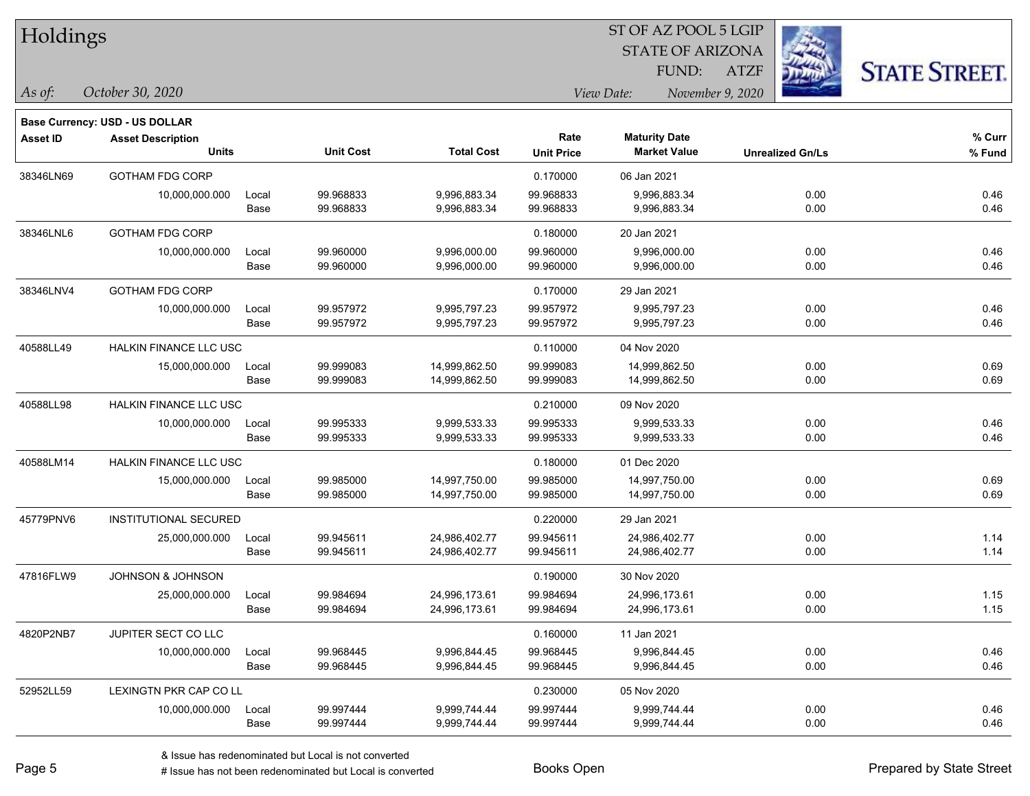| Holdings        |                                |       |                  |                   |                   | ST OF AZ POOL 5 LGIP<br><b>STATE OF ARIZONA</b> | 23                      |                      |
|-----------------|--------------------------------|-------|------------------|-------------------|-------------------|-------------------------------------------------|-------------------------|----------------------|
|                 |                                |       |                  |                   |                   | FUND:                                           | <b>ATZF</b>             | <b>STATE STREET.</b> |
| As of:          | October 30, 2020               |       |                  |                   |                   | View Date:<br>November 9, 2020                  |                         |                      |
|                 | Base Currency: USD - US DOLLAR |       |                  |                   |                   |                                                 |                         |                      |
| <b>Asset ID</b> | <b>Asset Description</b>       |       |                  |                   | Rate              | <b>Maturity Date</b>                            |                         | % Curr               |
|                 | <b>Units</b>                   |       | <b>Unit Cost</b> | <b>Total Cost</b> | <b>Unit Price</b> | <b>Market Value</b>                             | <b>Unrealized Gn/Ls</b> | % Fund               |
| 38346LN69       | <b>GOTHAM FDG CORP</b>         |       |                  |                   | 0.170000          | 06 Jan 2021                                     |                         |                      |
|                 | 10,000,000.000                 | Local | 99.968833        | 9,996,883.34      | 99.968833         | 9,996,883.34                                    | 0.00                    | 0.46                 |
|                 |                                | Base  | 99.968833        | 9,996,883.34      | 99.968833         | 9,996,883.34                                    | 0.00                    | 0.46                 |
| 38346LNL6       | <b>GOTHAM FDG CORP</b>         |       |                  |                   | 0.180000          | 20 Jan 2021                                     |                         |                      |
|                 | 10,000,000.000                 | Local | 99.960000        | 9,996,000.00      | 99.960000         | 9,996,000.00                                    | 0.00                    | 0.46                 |
|                 |                                | Base  | 99.960000        | 9,996,000.00      | 99.960000         | 9,996,000.00                                    | 0.00                    | 0.46                 |
| 38346LNV4       | <b>GOTHAM FDG CORP</b>         |       |                  |                   | 0.170000          | 29 Jan 2021                                     |                         |                      |
|                 | 10,000,000.000                 | Local | 99.957972        | 9,995,797.23      | 99.957972         | 9,995,797.23                                    | 0.00                    | 0.46                 |
|                 |                                | Base  | 99.957972        | 9,995,797.23      | 99.957972         | 9,995,797.23                                    | 0.00                    | 0.46                 |
| 40588LL49       | HALKIN FINANCE LLC USC         |       |                  |                   | 0.110000          | 04 Nov 2020                                     |                         |                      |
|                 | 15,000,000.000                 | Local | 99.999083        | 14,999,862.50     | 99.999083         | 14,999,862.50                                   | 0.00                    | 0.69                 |
|                 |                                | Base  | 99.999083        | 14,999,862.50     | 99.999083         | 14,999,862.50                                   | 0.00                    | 0.69                 |
| 40588LL98       | <b>HALKIN FINANCE LLC USC</b>  |       |                  |                   | 0.210000          | 09 Nov 2020                                     |                         |                      |
|                 | 10,000,000.000                 | Local | 99.995333        | 9,999,533.33      | 99.995333         | 9,999,533.33                                    | 0.00                    | 0.46                 |
|                 |                                | Base  | 99.995333        | 9,999,533.33      | 99.995333         | 9,999,533.33                                    | 0.00                    | 0.46                 |
| 40588LM14       | <b>HALKIN FINANCE LLC USC</b>  |       |                  |                   | 0.180000          | 01 Dec 2020                                     |                         |                      |
|                 | 15,000,000.000                 | Local | 99.985000        | 14,997,750.00     | 99.985000         | 14,997,750.00                                   | 0.00                    | 0.69                 |
|                 |                                | Base  | 99.985000        | 14,997,750.00     | 99.985000         | 14,997,750.00                                   | 0.00                    | 0.69                 |
| 45779PNV6       | INSTITUTIONAL SECURED          |       |                  |                   | 0.220000          | 29 Jan 2021                                     |                         |                      |
|                 | 25,000,000.000                 | Local | 99.945611        | 24,986,402.77     | 99.945611         | 24,986,402.77                                   | 0.00                    | 1.14                 |
|                 |                                | Base  | 99.945611        | 24,986,402.77     | 99.945611         | 24,986,402.77                                   | 0.00                    | 1.14                 |
| 47816FLW9       | <b>JOHNSON &amp; JOHNSON</b>   |       |                  |                   | 0.190000          | 30 Nov 2020                                     |                         |                      |
|                 | 25,000,000.000                 | Local | 99.984694        | 24,996,173.61     | 99.984694         | 24,996,173.61                                   | 0.00                    | 1.15                 |
|                 |                                | Base  | 99.984694        | 24,996,173.61     | 99.984694         | 24,996,173.61                                   | 0.00                    | 1.15                 |
| 4820P2NB7       | JUPITER SECT CO LLC            |       |                  |                   | 0.160000          | 11 Jan 2021                                     |                         |                      |
|                 | 10,000,000.000                 | Local | 99.968445        | 9,996,844.45      | 99.968445         | 9,996,844.45                                    | 0.00                    | 0.46                 |
|                 |                                | Base  | 99.968445        | 9,996,844.45      | 99.968445         | 9,996,844.45                                    | 0.00                    | 0.46                 |
| 52952LL59       | LEXINGTN PKR CAP CO LL         |       |                  |                   | 0.230000          | 05 Nov 2020                                     |                         |                      |
|                 | 10,000,000.000                 | Local | 99.997444        | 9,999,744.44      | 99.997444         | 9.999.744.44                                    | 0.00                    | 0.46                 |
|                 |                                | Base  | 99.997444        | 9,999,744.44      | 99.997444         | 9,999,744.44                                    | 0.00                    | 0.46                 |

 $\overline{\phantom{a}}$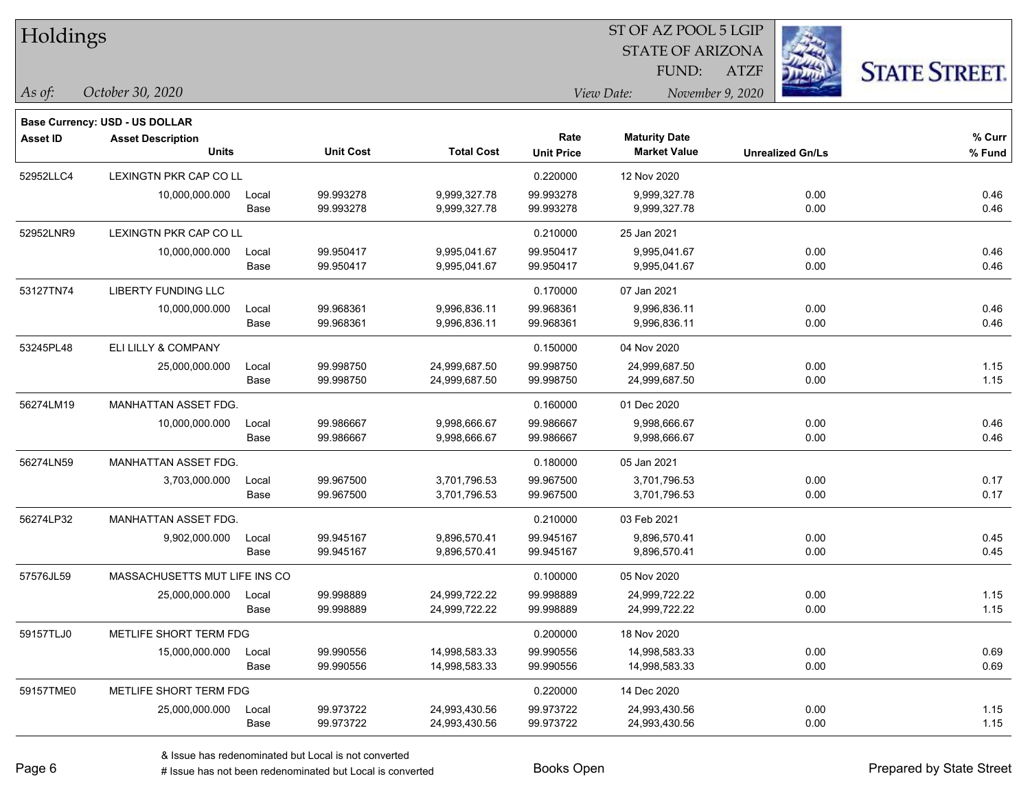| Holdings        |                                       |       |                  |                   |                           | ST OF AZ POOL 5 LGIP<br><b>STATE OF ARIZONA</b><br>FUND: | <b>ATZF</b>             |                      |
|-----------------|---------------------------------------|-------|------------------|-------------------|---------------------------|----------------------------------------------------------|-------------------------|----------------------|
| As of:          | October 30, 2020                      |       |                  |                   |                           | View Date:                                               | November 9, 2020        | <b>STATE STREET.</b> |
|                 | <b>Base Currency: USD - US DOLLAR</b> |       |                  |                   |                           |                                                          |                         |                      |
| <b>Asset ID</b> | <b>Asset Description</b><br>Units     |       | <b>Unit Cost</b> | <b>Total Cost</b> | Rate<br><b>Unit Price</b> | <b>Maturity Date</b><br><b>Market Value</b>              | <b>Unrealized Gn/Ls</b> | % Curr<br>% Fund     |
| 52952LLC4       | LEXINGTN PKR CAP CO LL                |       |                  |                   | 0.220000                  | 12 Nov 2020                                              |                         |                      |
|                 | 10,000,000.000                        | Local | 99.993278        | 9,999,327.78      | 99.993278                 | 9,999,327.78                                             | 0.00                    | 0.46                 |
|                 |                                       | Base  | 99.993278        | 9,999,327.78      | 99.993278                 | 9,999,327.78                                             | 0.00                    | 0.46                 |
| 52952LNR9       | LEXINGTN PKR CAP CO LL                |       |                  |                   | 0.210000                  | 25 Jan 2021                                              |                         |                      |
|                 | 10,000,000.000                        | Local | 99.950417        | 9,995,041.67      | 99.950417                 | 9,995,041.67                                             | 0.00                    | 0.46                 |
|                 |                                       | Base  | 99.950417        | 9,995,041.67      | 99.950417                 | 9,995,041.67                                             | 0.00                    | 0.46                 |
| 53127TN74       | <b>LIBERTY FUNDING LLC</b>            |       |                  |                   | 0.170000                  | 07 Jan 2021                                              |                         |                      |
|                 | 10,000,000.000                        | Local | 99.968361        | 9,996,836.11      | 99.968361                 | 9,996,836.11                                             | 0.00                    | 0.46                 |
|                 |                                       | Base  | 99.968361        | 9,996,836.11      | 99.968361                 | 9,996,836.11                                             | 0.00                    | 0.46                 |
| 53245PL48       | ELI LILLY & COMPANY                   |       |                  |                   | 0.150000                  | 04 Nov 2020                                              |                         |                      |
|                 | 25,000,000.000                        | Local | 99.998750        | 24,999,687.50     | 99.998750                 | 24,999,687.50                                            | 0.00                    | 1.15                 |
|                 |                                       | Base  | 99.998750        | 24,999,687.50     | 99.998750                 | 24,999,687.50                                            | 0.00                    | 1.15                 |
| 56274LM19       | MANHATTAN ASSET FDG.                  |       |                  |                   | 0.160000                  | 01 Dec 2020                                              |                         |                      |
|                 | 10,000,000.000                        | Local | 99.986667        | 9,998,666.67      | 99.986667                 | 9,998,666.67                                             | 0.00                    | 0.46                 |
|                 |                                       | Base  | 99.986667        | 9,998,666.67      | 99.986667                 | 9,998,666.67                                             | 0.00                    | 0.46                 |
| 56274LN59       | MANHATTAN ASSET FDG.                  |       |                  |                   | 0.180000                  | 05 Jan 2021                                              |                         |                      |
|                 | 3,703,000.000                         | Local | 99.967500        | 3,701,796.53      | 99.967500                 | 3,701,796.53                                             | 0.00                    | 0.17                 |
|                 |                                       | Base  | 99.967500        | 3,701,796.53      | 99.967500                 | 3,701,796.53                                             | 0.00                    | 0.17                 |
| 56274LP32       | MANHATTAN ASSET FDG.                  |       |                  |                   | 0.210000                  | 03 Feb 2021                                              |                         |                      |
|                 | 9,902,000.000                         | Local | 99.945167        | 9,896,570.41      | 99.945167                 | 9,896,570.41                                             | 0.00                    | 0.45                 |
|                 |                                       | Base  | 99.945167        | 9,896,570.41      | 99.945167                 | 9,896,570.41                                             | 0.00                    | 0.45                 |
| 57576JL59       | MASSACHUSETTS MUT LIFE INS CO         |       |                  |                   | 0.100000                  | 05 Nov 2020                                              |                         |                      |
|                 | 25,000,000.000 Local                  |       | 99.998889        | 24,999,722.22     | 99.998889                 | 24,999,722.22                                            | 0.00                    | 1.15                 |
|                 |                                       | Base  | 99.998889        | 24,999,722.22     | 99.998889                 | 24,999,722.22                                            | 0.00                    | 1.15                 |
| 59157TLJ0       | METLIFE SHORT TERM FDG                |       |                  |                   | 0.200000                  | 18 Nov 2020                                              |                         |                      |
|                 | 15,000,000.000                        | Local | 99.990556        | 14,998,583.33     | 99.990556                 | 14,998,583.33                                            | 0.00                    | 0.69                 |
|                 |                                       | Base  | 99.990556        | 14,998,583.33     | 99.990556                 | 14,998,583.33                                            | 0.00                    | 0.69                 |
| 59157TME0       | METLIFE SHORT TERM FDG                |       |                  |                   | 0.220000                  | 14 Dec 2020                                              |                         |                      |
|                 | 25,000,000.000                        | Local | 99.973722        | 24,993,430.56     | 99.973722                 | 24,993,430.56                                            | 0.00                    | 1.15                 |
|                 |                                       | Base  | 99.973722        | 24,993,430.56     | 99.973722                 | 24,993,430.56                                            | 0.00                    | 1.15                 |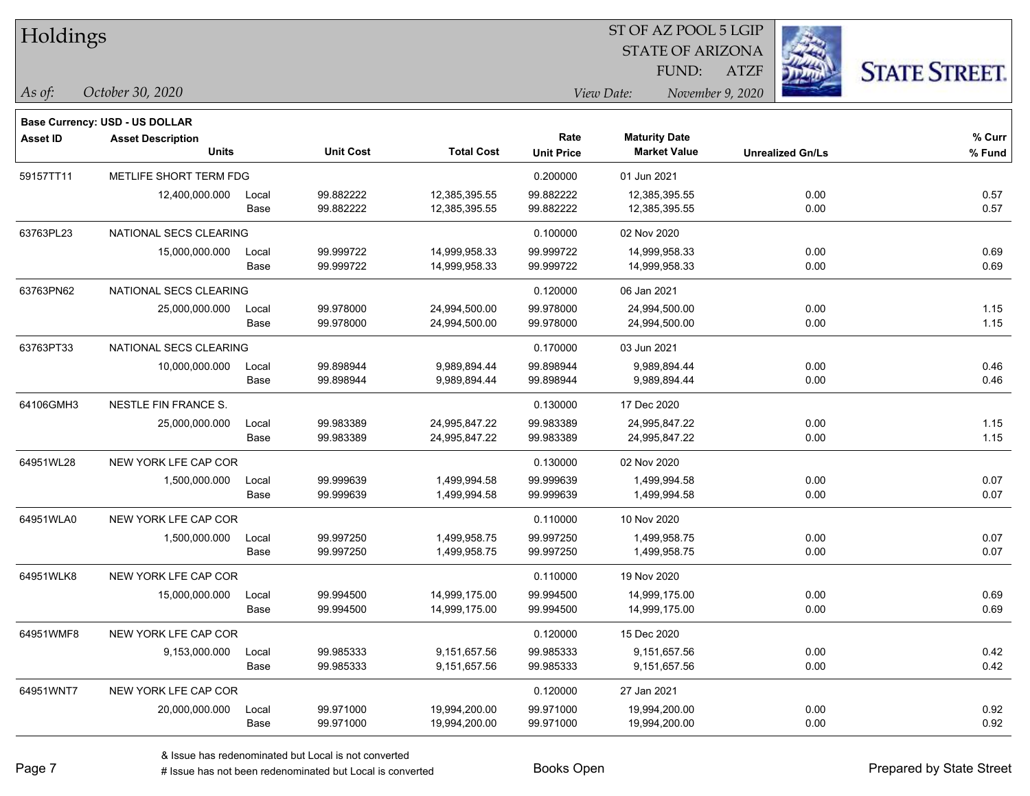| Holdings        |                                       |       |                  |                   | 51 OF AZ POOL 5 LGIP |                                |                         |                      |  |  |
|-----------------|---------------------------------------|-------|------------------|-------------------|----------------------|--------------------------------|-------------------------|----------------------|--|--|
|                 |                                       |       |                  |                   |                      | <b>STATE OF ARIZONA</b>        |                         |                      |  |  |
|                 |                                       |       |                  |                   |                      | FUND:                          | <b>ATZF</b>             | <b>STATE STREET.</b> |  |  |
| As of:          | October 30, 2020                      |       |                  |                   |                      | View Date:<br>November 9, 2020 |                         |                      |  |  |
|                 | <b>Base Currency: USD - US DOLLAR</b> |       |                  |                   |                      |                                |                         |                      |  |  |
| <b>Asset ID</b> | <b>Asset Description</b>              |       |                  |                   | Rate                 | <b>Maturity Date</b>           |                         | $%$ Curr             |  |  |
|                 | <b>Units</b>                          |       | <b>Unit Cost</b> | <b>Total Cost</b> | <b>Unit Price</b>    | <b>Market Value</b>            | <b>Unrealized Gn/Ls</b> | % Fund               |  |  |
| 59157TT11       | METLIFE SHORT TERM FDG                |       |                  |                   | 0.200000             | 01 Jun 2021                    |                         |                      |  |  |
|                 | 12,400,000.000                        | Local | 99.882222        | 12,385,395.55     | 99.882222            | 12,385,395.55                  | 0.00                    | 0.57                 |  |  |
|                 |                                       | Base  | 99.882222        | 12,385,395.55     | 99.882222            | 12,385,395.55                  | 0.00                    | 0.57                 |  |  |
| 63763PL23       | NATIONAL SECS CLEARING                |       |                  |                   | 0.100000             | 02 Nov 2020                    |                         |                      |  |  |
|                 | 15,000,000.000                        | Local | 99.999722        | 14,999,958.33     | 99.999722            | 14,999,958.33                  | 0.00                    | 0.69                 |  |  |
|                 |                                       | Base  | 99.999722        | 14,999,958.33     | 99.999722            | 14,999,958.33                  | 0.00                    | 0.69                 |  |  |
| 63763PN62       | NATIONAL SECS CLEARING                |       |                  |                   | 0.120000             | 06 Jan 2021                    |                         |                      |  |  |
|                 | 25,000,000.000                        | Local | 99.978000        | 24,994,500.00     | 99.978000            | 24,994,500.00                  | 0.00                    | 1.15                 |  |  |
|                 |                                       | Base  | 99.978000        | 24,994,500.00     | 99.978000            | 24,994,500.00                  | 0.00                    | 1.15                 |  |  |
| 63763PT33       | NATIONAL SECS CLEARING                |       |                  |                   | 0.170000             | 03 Jun 2021                    |                         |                      |  |  |
|                 | 10,000,000.000                        | Local | 99.898944        | 9,989,894.44      | 99.898944            | 9.989.894.44                   | 0.00                    | 0.46                 |  |  |
|                 |                                       | Base  | 99.898944        | 9,989,894.44      | 99.898944            | 9,989,894.44                   | 0.00                    | 0.46                 |  |  |
| 64106GMH3       | NESTLE FIN FRANCE S.                  |       |                  |                   | 0.130000             | 17 Dec 2020                    |                         |                      |  |  |
|                 | 25,000,000.000                        | Local | 99.983389        | 24,995,847.22     | 99.983389            | 24,995,847.22                  | 0.00                    | 1.15                 |  |  |
|                 |                                       | Base  | 99.983389        | 24,995,847.22     | 99.983389            | 24,995,847.22                  | 0.00                    | 1.15                 |  |  |
| 64951WL28       | NEW YORK LFE CAP COR                  |       |                  |                   | 0.130000             | 02 Nov 2020                    |                         |                      |  |  |
|                 | 1,500,000.000                         | Local | 99.999639        | 1,499,994.58      | 99.999639            | 1,499,994.58                   | 0.00                    | 0.07                 |  |  |
|                 |                                       | Base  | 99.999639        | 1,499,994.58      | 99.999639            | 1,499,994.58                   | 0.00                    | 0.07                 |  |  |
| 64951WLA0       | NEW YORK LFE CAP COR                  |       |                  |                   | 0.110000             | 10 Nov 2020                    |                         |                      |  |  |
|                 | 1,500,000.000                         | Local | 99.997250        | 1,499,958.75      | 99.997250            | 1,499,958.75                   | 0.00                    | 0.07                 |  |  |
|                 |                                       | Base  | 99.997250        | 1,499,958.75      | 99.997250            | 1,499,958.75                   | 0.00                    | 0.07                 |  |  |
| 64951WLK8       | NEW YORK LFE CAP COR                  |       |                  |                   | 0.110000             | 19 Nov 2020                    |                         |                      |  |  |
|                 | 15,000,000.000                        | Local | 99.994500        | 14,999,175.00     | 99.994500            | 14,999,175.00                  | 0.00                    | 0.69                 |  |  |
|                 |                                       | Base  | 99.994500        | 14,999,175.00     | 99.994500            | 14,999,175.00                  | 0.00                    | 0.69                 |  |  |
| 64951WMF8       | NEW YORK LFE CAP COR                  |       |                  |                   | 0.120000             | 15 Dec 2020                    |                         |                      |  |  |
|                 | 9,153,000.000                         | Local | 99.985333        | 9,151,657.56      | 99.985333            | 9,151,657.56                   | 0.00                    | 0.42                 |  |  |
|                 |                                       | Base  | 99.985333        | 9,151,657.56      | 99.985333            | 9,151,657.56                   | 0.00                    | 0.42                 |  |  |
| 64951WNT7       | NEW YORK LFE CAP COR                  |       |                  |                   | 0.120000             | 27 Jan 2021                    |                         |                      |  |  |
|                 | 20,000,000.000                        | Local | 99.971000        | 19,994,200.00     | 99.971000            | 19,994,200.00                  | 0.00                    | 0.92                 |  |  |
|                 |                                       | Base  | 99.971000        | 19,994,200.00     | 99.971000            | 19,994,200.00                  | 0.00                    | 0.92                 |  |  |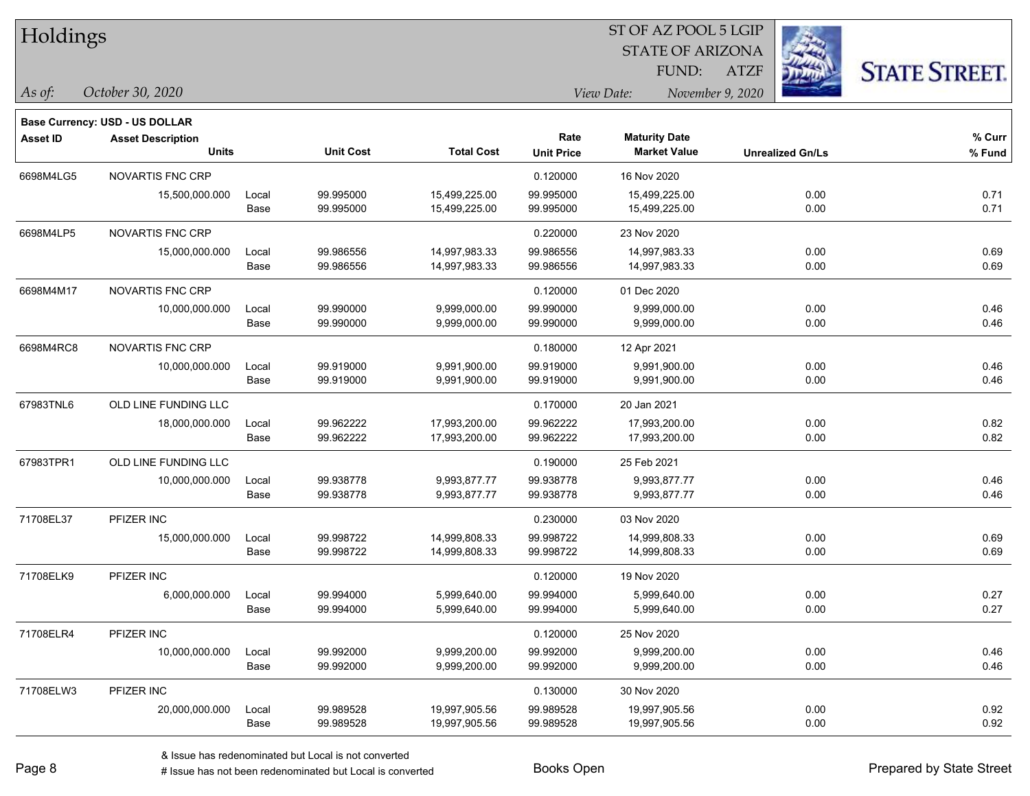| Holdings        |                                       |       |                  |                   |                   | ST OF AZ POOL 5 LGIP           |                         |                      |  |
|-----------------|---------------------------------------|-------|------------------|-------------------|-------------------|--------------------------------|-------------------------|----------------------|--|
|                 |                                       |       |                  |                   |                   | <b>STATE OF ARIZONA</b>        |                         |                      |  |
|                 |                                       |       |                  |                   |                   | FUND:                          | <b>ATZF</b>             | <b>STATE STREET.</b> |  |
| As of:          | October 30, 2020                      |       |                  |                   |                   | View Date:<br>November 9, 2020 |                         |                      |  |
|                 | <b>Base Currency: USD - US DOLLAR</b> |       |                  |                   |                   |                                |                         |                      |  |
| <b>Asset ID</b> | <b>Asset Description</b>              |       |                  |                   | Rate              | <b>Maturity Date</b>           |                         | % Curr               |  |
|                 | <b>Units</b>                          |       | <b>Unit Cost</b> | <b>Total Cost</b> | <b>Unit Price</b> | <b>Market Value</b>            | <b>Unrealized Gn/Ls</b> | % Fund               |  |
| 6698M4LG5       | NOVARTIS FNC CRP                      |       |                  |                   | 0.120000          | 16 Nov 2020                    |                         |                      |  |
|                 | 15,500,000.000                        | Local | 99.995000        | 15,499,225.00     | 99.995000         | 15,499,225.00                  | 0.00                    | 0.71                 |  |
|                 |                                       | Base  | 99.995000        | 15,499,225.00     | 99.995000         | 15,499,225.00                  | 0.00                    | 0.71                 |  |
| 6698M4LP5       | NOVARTIS FNC CRP                      |       |                  |                   | 0.220000          | 23 Nov 2020                    |                         |                      |  |
|                 | 15,000,000.000                        | Local | 99.986556        | 14,997,983.33     | 99.986556         | 14,997,983.33                  | 0.00                    | 0.69                 |  |
|                 |                                       | Base  | 99.986556        | 14,997,983.33     | 99.986556         | 14,997,983.33                  | 0.00                    | 0.69                 |  |
| 6698M4M17       | NOVARTIS FNC CRP                      |       |                  |                   | 0.120000          | 01 Dec 2020                    |                         |                      |  |
|                 | 10,000,000.000                        | Local | 99.990000        | 9,999,000.00      | 99.990000         | 9,999,000.00                   | 0.00                    | 0.46                 |  |
|                 |                                       | Base  | 99.990000        | 9,999,000.00      | 99.990000         | 9,999,000.00                   | 0.00                    | 0.46                 |  |
| 6698M4RC8       | NOVARTIS FNC CRP                      |       |                  |                   | 0.180000          | 12 Apr 2021                    |                         |                      |  |
|                 | 10,000,000.000                        | Local | 99.919000        | 9,991,900.00      | 99.919000         | 9,991,900.00                   | 0.00                    | 0.46                 |  |
|                 |                                       | Base  | 99.919000        | 9,991,900.00      | 99.919000         | 9,991,900.00                   | 0.00                    | 0.46                 |  |
| 67983TNL6       | OLD LINE FUNDING LLC                  |       |                  |                   | 0.170000          | 20 Jan 2021                    |                         |                      |  |
|                 | 18,000,000.000                        | Local | 99.962222        | 17,993,200.00     | 99.962222         | 17,993,200.00                  | 0.00                    | 0.82                 |  |
|                 |                                       | Base  | 99.962222        | 17,993,200.00     | 99.962222         | 17,993,200.00                  | 0.00                    | 0.82                 |  |
| 67983TPR1       | OLD LINE FUNDING LLC                  |       |                  |                   | 0.190000          | 25 Feb 2021                    |                         |                      |  |
|                 | 10,000,000.000                        | Local | 99.938778        | 9,993,877.77      | 99.938778         | 9,993,877.77                   | 0.00                    | 0.46                 |  |
|                 |                                       | Base  | 99.938778        | 9,993,877.77      | 99.938778         | 9,993,877.77                   | 0.00                    | 0.46                 |  |
| 71708EL37       | PFIZER INC                            |       |                  |                   | 0.230000          | 03 Nov 2020                    |                         |                      |  |
|                 | 15,000,000.000                        | Local | 99.998722        | 14,999,808.33     | 99.998722         | 14,999,808.33                  | 0.00                    | 0.69                 |  |
|                 |                                       | Base  | 99.998722        | 14,999,808.33     | 99.998722         | 14,999,808.33                  | 0.00                    | 0.69                 |  |
| 71708ELK9       | PFIZER INC                            |       |                  |                   | 0.120000          | 19 Nov 2020                    |                         |                      |  |
|                 | 6,000,000.000                         | Local | 99.994000        | 5,999,640.00      | 99.994000         | 5,999,640.00                   | 0.00                    | 0.27                 |  |
|                 |                                       | Base  | 99.994000        | 5,999,640.00      | 99.994000         | 5,999,640.00                   | 0.00                    | 0.27                 |  |
| 71708ELR4       | PFIZER INC                            |       |                  |                   | 0.120000          | 25 Nov 2020                    |                         |                      |  |
|                 | 10,000,000.000                        | Local | 99.992000        | 9,999,200.00      | 99.992000         | 9,999,200.00                   | 0.00                    | 0.46                 |  |
|                 |                                       | Base  | 99.992000        | 9,999,200.00      | 99.992000         | 9,999,200.00                   | 0.00                    | 0.46                 |  |
| 71708ELW3       | PFIZER INC                            |       |                  |                   | 0.130000          | 30 Nov 2020                    |                         |                      |  |
|                 | 20,000,000.000                        | Local | 99.989528        | 19,997,905.56     | 99.989528         | 19,997,905.56                  | 0.00                    | 0.92                 |  |
|                 |                                       | Base  | 99.989528        | 19,997,905.56     | 99.989528         | 19,997,905.56                  | 0.00                    | 0.92                 |  |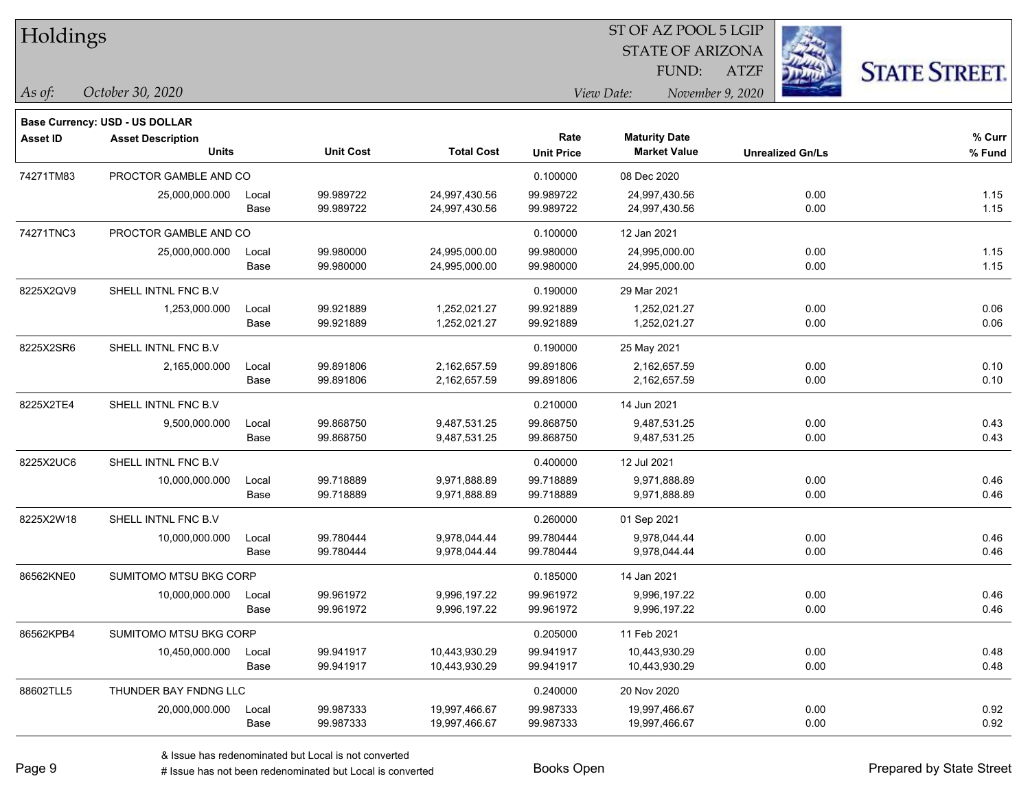| Holdings        |                                       |       |                  |                   |                   |                         |                         |                      |
|-----------------|---------------------------------------|-------|------------------|-------------------|-------------------|-------------------------|-------------------------|----------------------|
|                 |                                       |       |                  |                   |                   | <b>STATE OF ARIZONA</b> |                         |                      |
|                 |                                       |       |                  |                   |                   | FUND:                   | <b>ATZF</b>             | <b>STATE STREET.</b> |
| As of:          | October 30, 2020                      |       |                  |                   | View Date:        |                         |                         |                      |
|                 | <b>Base Currency: USD - US DOLLAR</b> |       |                  |                   |                   |                         |                         |                      |
| <b>Asset ID</b> | <b>Asset Description</b>              |       |                  |                   | Rate              | <b>Maturity Date</b>    |                         | $%$ Curr             |
|                 | <b>Units</b>                          |       | <b>Unit Cost</b> | <b>Total Cost</b> | <b>Unit Price</b> | <b>Market Value</b>     | <b>Unrealized Gn/Ls</b> | % Fund               |
| 74271TM83       | PROCTOR GAMBLE AND CO                 |       |                  |                   | 0.100000          | 08 Dec 2020             |                         |                      |
|                 | 25,000,000.000                        | Local | 99.989722        | 24,997,430.56     | 99.989722         | 24,997,430.56           | 0.00                    | 1.15                 |
|                 |                                       | Base  | 99.989722        | 24,997,430.56     | 99.989722         | 24,997,430.56           | 0.00                    | 1.15                 |
| 74271TNC3       | PROCTOR GAMBLE AND CO                 |       |                  |                   | 0.100000          | 12 Jan 2021             |                         |                      |
|                 | 25,000,000.000                        | Local | 99.980000        | 24,995,000.00     | 99.980000         | 24,995,000.00           | 0.00                    | 1.15                 |
|                 |                                       | Base  | 99.980000        | 24,995,000.00     | 99.980000         | 24,995,000.00           | 0.00                    | 1.15                 |
| 8225X2QV9       | SHELL INTNL FNC B.V                   |       |                  |                   | 0.190000          | 29 Mar 2021             |                         |                      |
|                 | 1,253,000.000                         | Local | 99.921889        | 1,252,021.27      | 99.921889         | 1,252,021.27            | 0.00                    | 0.06                 |
|                 |                                       | Base  | 99.921889        | 1,252,021.27      | 99.921889         | 1,252,021.27            | 0.00                    | 0.06                 |
| 8225X2SR6       | SHELL INTNL FNC B.V                   |       |                  |                   | 0.190000          | 25 May 2021             |                         |                      |
|                 | 2,165,000.000                         | Local | 99.891806        | 2,162,657.59      | 99.891806         | 2,162,657.59            | 0.00                    | 0.10                 |
|                 |                                       | Base  | 99.891806        | 2,162,657.59      | 99.891806         | 2,162,657.59            | 0.00                    | 0.10                 |
| 8225X2TE4       | SHELL INTNL FNC B.V                   |       |                  |                   | 0.210000          | 14 Jun 2021             |                         |                      |
|                 | 9,500,000.000                         | Local | 99.868750        | 9,487,531.25      | 99.868750         | 9,487,531.25            | 0.00                    | 0.43                 |
|                 |                                       | Base  | 99.868750        | 9,487,531.25      | 99.868750         | 9,487,531.25            | 0.00                    | 0.43                 |
| 8225X2UC6       | SHELL INTNL FNC B.V                   |       |                  |                   | 0.400000          | 12 Jul 2021             |                         |                      |
|                 | 10,000,000.000                        | Local | 99.718889        | 9,971,888.89      | 99.718889         | 9,971,888.89            | 0.00                    | 0.46                 |
|                 |                                       | Base  | 99.718889        | 9,971,888.89      | 99.718889         | 9,971,888.89            | 0.00                    | 0.46                 |
| 8225X2W18       | SHELL INTNL FNC B.V                   |       |                  |                   | 0.260000          | 01 Sep 2021             |                         |                      |
|                 | 10,000,000.000                        | Local | 99.780444        | 9,978,044.44      | 99.780444         | 9,978,044.44            | 0.00                    | 0.46                 |
|                 |                                       | Base  | 99.780444        | 9,978,044.44      | 99.780444         | 9,978,044.44            | 0.00                    | 0.46                 |
| 86562KNE0       | SUMITOMO MTSU BKG CORP                |       |                  |                   | 0.185000          | 14 Jan 2021             |                         |                      |
|                 | 10,000,000.000                        | Local | 99.961972        | 9,996,197.22      | 99.961972         | 9,996,197.22            | 0.00                    | 0.46                 |
|                 |                                       | Base  | 99.961972        | 9,996,197.22      | 99.961972         | 9,996,197.22            | 0.00                    | 0.46                 |
| 86562KPB4       | SUMITOMO MTSU BKG CORP                |       |                  |                   | 0.205000          | 11 Feb 2021             |                         |                      |
|                 | 10,450,000.000                        | Local | 99.941917        | 10,443,930.29     | 99.941917         | 10,443,930.29           | 0.00                    | 0.48                 |
|                 |                                       | Base  | 99.941917        | 10,443,930.29     | 99.941917         | 10,443,930.29           | 0.00                    | 0.48                 |
| 88602TLL5       | THUNDER BAY FNDNG LLC                 |       |                  |                   | 0.240000          | 20 Nov 2020             |                         |                      |
|                 | 20,000,000.000                        | Local | 99.987333        | 19,997,466.67     | 99.987333         | 19,997,466.67           | 0.00                    | 0.92                 |
|                 |                                       | Base  | 99.987333        | 19,997,466.67     | 99.987333         | 19,997,466.67           | 0.00                    | 0.92                 |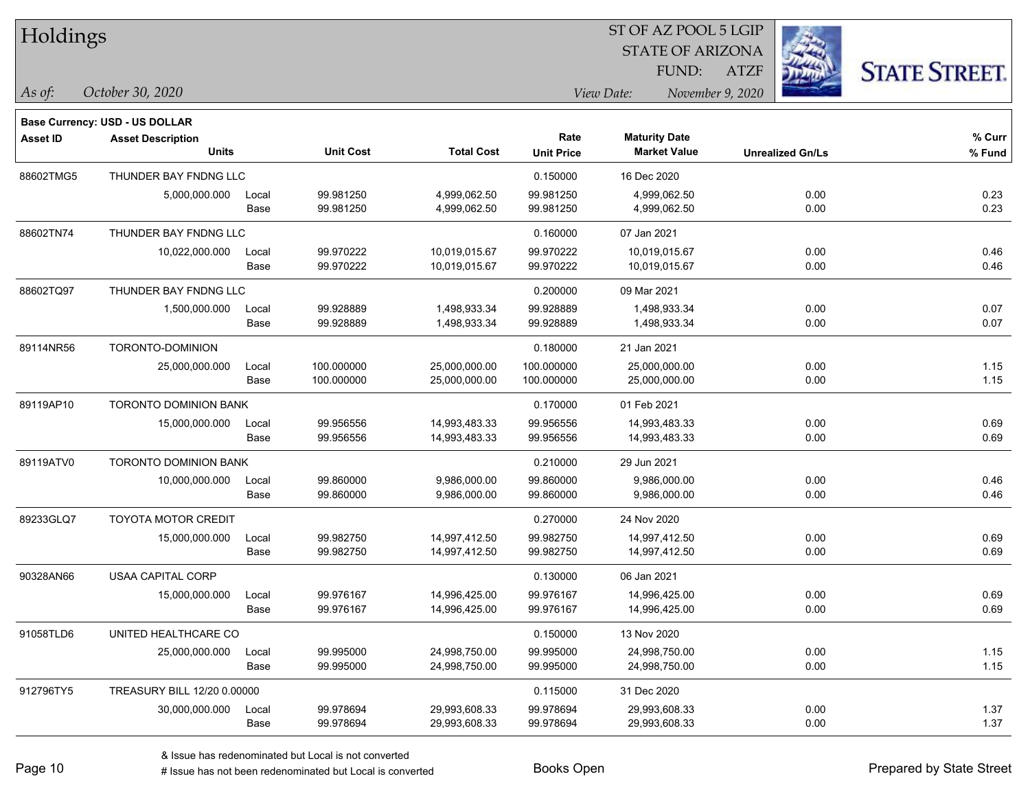| Holdings        |                                          |       |                  |                   |                   | ST OF AZ POOL 5 LGIP           |                         |                      |
|-----------------|------------------------------------------|-------|------------------|-------------------|-------------------|--------------------------------|-------------------------|----------------------|
|                 |                                          |       |                  |                   |                   | <b>STATE OF ARIZONA</b>        |                         |                      |
|                 |                                          |       |                  |                   |                   | FUND:                          | <b>ATZF</b>             | <b>STATE STREET.</b> |
| $\vert$ As of:  | October 30, 2020                         |       |                  |                   |                   | View Date:<br>November 9, 2020 |                         |                      |
|                 |                                          |       |                  |                   |                   |                                |                         |                      |
|                 | Base Currency: USD - US DOLLAR           |       |                  |                   | Rate              | <b>Maturity Date</b>           |                         | % Curr               |
| <b>Asset ID</b> | <b>Asset Description</b><br><b>Units</b> |       | <b>Unit Cost</b> | <b>Total Cost</b> | <b>Unit Price</b> | <b>Market Value</b>            | <b>Unrealized Gn/Ls</b> | % Fund               |
| 88602TMG5       | THUNDER BAY FNDNG LLC                    |       |                  |                   | 0.150000          | 16 Dec 2020                    |                         |                      |
|                 | 5,000,000.000                            | Local | 99.981250        | 4,999,062.50      | 99.981250         | 4,999,062.50                   | 0.00                    | 0.23                 |
|                 |                                          | Base  | 99.981250        | 4,999,062.50      | 99.981250         | 4,999,062.50                   | 0.00                    | 0.23                 |
| 88602TN74       | THUNDER BAY FNDNG LLC                    |       |                  |                   | 0.160000          | 07 Jan 2021                    |                         |                      |
|                 | 10,022,000.000                           | Local | 99.970222        | 10,019,015.67     | 99.970222         | 10,019,015.67                  | 0.00                    | 0.46                 |
|                 |                                          | Base  | 99.970222        | 10,019,015.67     | 99.970222         | 10,019,015.67                  | 0.00                    | 0.46                 |
| 88602TQ97       | THUNDER BAY FNDNG LLC                    |       |                  |                   | 0.200000          | 09 Mar 2021                    |                         |                      |
|                 | 1,500,000.000                            | Local | 99.928889        | 1,498,933.34      | 99.928889         | 1,498,933.34                   | 0.00                    | 0.07                 |
|                 |                                          | Base  | 99.928889        | 1,498,933.34      | 99.928889         | 1,498,933.34                   | 0.00                    | 0.07                 |
| 89114NR56       | TORONTO-DOMINION                         |       |                  |                   | 0.180000          | 21 Jan 2021                    |                         |                      |
|                 | 25,000,000.000                           | Local | 100.000000       | 25,000,000.00     | 100.000000        | 25,000,000.00                  | 0.00                    | 1.15                 |
|                 |                                          | Base  | 100.000000       | 25,000,000.00     | 100.000000        | 25,000,000.00                  | 0.00                    | 1.15                 |
| 89119AP10       | <b>TORONTO DOMINION BANK</b>             |       |                  |                   | 0.170000          | 01 Feb 2021                    |                         |                      |
|                 | 15,000,000.000                           | Local | 99.956556        | 14,993,483.33     | 99.956556         | 14,993,483.33                  | 0.00                    | 0.69                 |
|                 |                                          | Base  | 99.956556        | 14,993,483.33     | 99.956556         | 14,993,483.33                  | 0.00                    | 0.69                 |
| 89119ATV0       | <b>TORONTO DOMINION BANK</b>             |       |                  |                   | 0.210000          | 29 Jun 2021                    |                         |                      |
|                 | 10,000,000.000                           | Local | 99.860000        | 9,986,000.00      | 99.860000         | 9,986,000.00                   | 0.00                    | 0.46                 |
|                 |                                          | Base  | 99.860000        | 9,986,000.00      | 99.860000         | 9,986,000.00                   | 0.00                    | 0.46                 |
| 89233GLQ7       | <b>TOYOTA MOTOR CREDIT</b>               |       |                  |                   | 0.270000          | 24 Nov 2020                    |                         |                      |
|                 | 15,000,000.000                           | Local | 99.982750        | 14,997,412.50     | 99.982750         | 14,997,412.50                  | 0.00                    | 0.69                 |
|                 |                                          | Base  | 99.982750        | 14,997,412.50     | 99.982750         | 14,997,412.50                  | 0.00                    | 0.69                 |
| 90328AN66       | <b>USAA CAPITAL CORP</b>                 |       |                  |                   | 0.130000          | 06 Jan 2021                    |                         |                      |
|                 | 15,000,000.000                           | Local | 99.976167        | 14,996,425.00     | 99.976167         | 14,996,425.00                  | 0.00                    | 0.69                 |
|                 |                                          | Base  | 99.976167        | 14,996,425.00     | 99.976167         | 14,996,425.00                  | 0.00                    | 0.69                 |
| 91058TLD6       | UNITED HEALTHCARE CO                     |       |                  |                   | 0.150000          | 13 Nov 2020                    |                         |                      |
|                 | 25,000,000.000                           | Local | 99.995000        | 24,998,750.00     | 99.995000         | 24,998,750.00                  | 0.00                    | 1.15                 |
|                 |                                          | Base  | 99.995000        | 24,998,750.00     | 99.995000         | 24,998,750.00                  | 0.00                    | 1.15                 |
| 912796TY5       | TREASURY BILL 12/20 0.00000              |       |                  |                   | 0.115000          | 31 Dec 2020                    |                         |                      |
|                 | 30,000,000.000                           | Local | 99.978694        | 29,993,608.33     | 99.978694         | 29,993,608.33                  | 0.00                    | 1.37                 |
|                 |                                          | Base  | 99.978694        | 29,993,608.33     | 99.978694         | 29,993,608.33                  | 0.00                    | 1.37                 |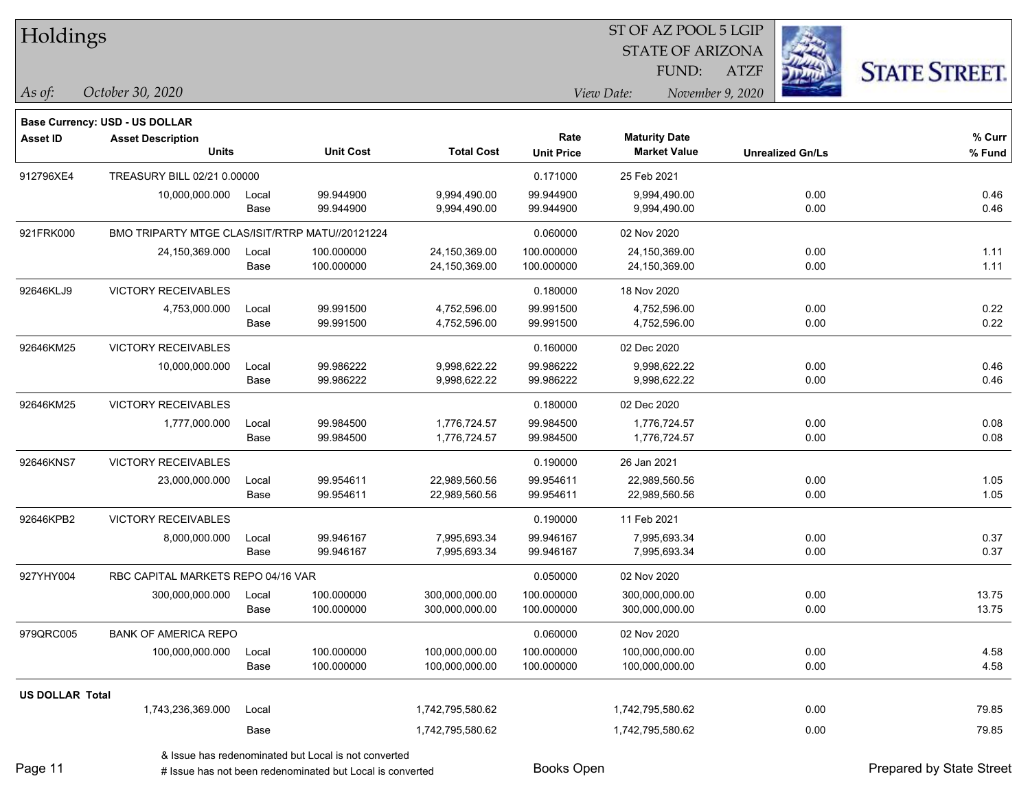| Holdings               |                                                 |       |                                                      |                   |                   | ST OF AZ POOL 5 LGIP    |                         |                      |
|------------------------|-------------------------------------------------|-------|------------------------------------------------------|-------------------|-------------------|-------------------------|-------------------------|----------------------|
|                        |                                                 |       |                                                      |                   |                   | <b>STATE OF ARIZONA</b> |                         |                      |
|                        |                                                 |       |                                                      |                   |                   | FUND:                   | <b>ATZF</b>             | <b>STATE STREET.</b> |
| As of:                 | October 30, 2020                                |       |                                                      |                   |                   | View Date:              | November 9, 2020        |                      |
|                        | <b>Base Currency: USD - US DOLLAR</b>           |       |                                                      |                   |                   |                         |                         |                      |
| <b>Asset ID</b>        | <b>Asset Description</b>                        |       |                                                      |                   | Rate              | <b>Maturity Date</b>    |                         | % Curr               |
|                        | <b>Units</b>                                    |       | <b>Unit Cost</b>                                     | <b>Total Cost</b> | <b>Unit Price</b> | <b>Market Value</b>     | <b>Unrealized Gn/Ls</b> | % Fund               |
| 912796XE4              | TREASURY BILL 02/21 0.00000                     |       |                                                      |                   | 0.171000          | 25 Feb 2021             |                         |                      |
|                        | 10,000,000.000                                  | Local | 99.944900                                            | 9,994,490.00      | 99.944900         | 9,994,490.00            | 0.00                    | 0.46                 |
|                        |                                                 | Base  | 99.944900                                            | 9,994,490.00      | 99.944900         | 9,994,490.00            | 0.00                    | 0.46                 |
| 921FRK000              | BMO TRIPARTY MTGE CLAS/ISIT/RTRP MATU//20121224 |       |                                                      |                   | 0.060000          | 02 Nov 2020             |                         |                      |
|                        | 24,150,369.000                                  | Local | 100.000000                                           | 24,150,369.00     | 100.000000        | 24,150,369.00           | 0.00                    | 1.11                 |
|                        |                                                 | Base  | 100.000000                                           | 24,150,369.00     | 100.000000        | 24,150,369.00           | 0.00                    | 1.11                 |
| 92646KLJ9              | <b>VICTORY RECEIVABLES</b>                      |       |                                                      |                   | 0.180000          | 18 Nov 2020             |                         |                      |
|                        | 4,753,000.000                                   | Local | 99.991500                                            | 4,752,596.00      | 99.991500         | 4,752,596.00            | 0.00                    | 0.22                 |
|                        |                                                 | Base  | 99.991500                                            | 4,752,596.00      | 99.991500         | 4,752,596.00            | 0.00                    | 0.22                 |
| 92646KM25              | VICTORY RECEIVABLES                             |       |                                                      |                   | 0.160000          | 02 Dec 2020             |                         |                      |
|                        | 10,000,000.000                                  | Local | 99.986222                                            | 9,998,622.22      | 99.986222         | 9,998,622.22            | 0.00                    | 0.46                 |
|                        |                                                 | Base  | 99.986222                                            | 9,998,622.22      | 99.986222         | 9,998,622.22            | 0.00                    | 0.46                 |
| 92646KM25              | VICTORY RECEIVABLES                             |       |                                                      |                   | 0.180000          | 02 Dec 2020             |                         |                      |
|                        | 1,777,000.000                                   | Local | 99.984500                                            | 1,776,724.57      | 99.984500         | 1,776,724.57            | 0.00                    | 0.08                 |
|                        |                                                 | Base  | 99.984500                                            | 1,776,724.57      | 99.984500         | 1,776,724.57            | 0.00                    | 0.08                 |
| 92646KNS7              | <b>VICTORY RECEIVABLES</b>                      |       |                                                      |                   | 0.190000          | 26 Jan 2021             |                         |                      |
|                        | 23,000,000.000                                  | Local | 99.954611                                            | 22,989,560.56     | 99.954611         | 22,989,560.56           | 0.00                    | 1.05                 |
|                        |                                                 | Base  | 99.954611                                            | 22,989,560.56     | 99.954611         | 22,989,560.56           | 0.00                    | 1.05                 |
| 92646KPB2              | VICTORY RECEIVABLES                             |       |                                                      |                   | 0.190000          | 11 Feb 2021             |                         |                      |
|                        | 8,000,000.000                                   | Local | 99.946167                                            | 7,995,693.34      | 99.946167         | 7,995,693.34            | 0.00                    | 0.37                 |
|                        |                                                 | Base  | 99.946167                                            | 7,995,693.34      | 99.946167         | 7,995,693.34            | 0.00                    | 0.37                 |
| 927YHY004              | RBC CAPITAL MARKETS REPO 04/16 VAR              |       |                                                      |                   | 0.050000          | 02 Nov 2020             |                         |                      |
|                        | 300,000,000.000                                 | Local | 100.000000                                           | 300,000,000.00    | 100.000000        | 300,000,000.00          | 0.00                    | 13.75                |
|                        |                                                 | Base  | 100.000000                                           | 300,000,000.00    | 100.000000        | 300,000,000.00          | 0.00                    | 13.75                |
| 979QRC005              | <b>BANK OF AMERICA REPO</b>                     |       |                                                      |                   | 0.060000          | 02 Nov 2020             |                         |                      |
|                        | 100,000,000.000                                 | Local | 100.000000                                           | 100,000,000.00    | 100.000000        | 100,000,000.00          | 0.00                    | 4.58                 |
|                        |                                                 | Base  | 100.000000                                           | 100,000,000.00    | 100.000000        | 100,000,000.00          | 0.00                    | 4.58                 |
| <b>US DOLLAR Total</b> |                                                 |       |                                                      |                   |                   |                         |                         |                      |
|                        | 1,743,236,369.000                               | Local |                                                      | 1,742,795,580.62  |                   | 1,742,795,580.62        | 0.00                    | 79.85                |
|                        |                                                 | Base  |                                                      | 1,742,795,580.62  |                   | 1,742,795,580.62        | 0.00                    | 79.85                |
|                        |                                                 |       | & Issue has redenominated but Local is not converted |                   |                   |                         |                         |                      |

& Issue has redenominated but Local is not converted

Page 11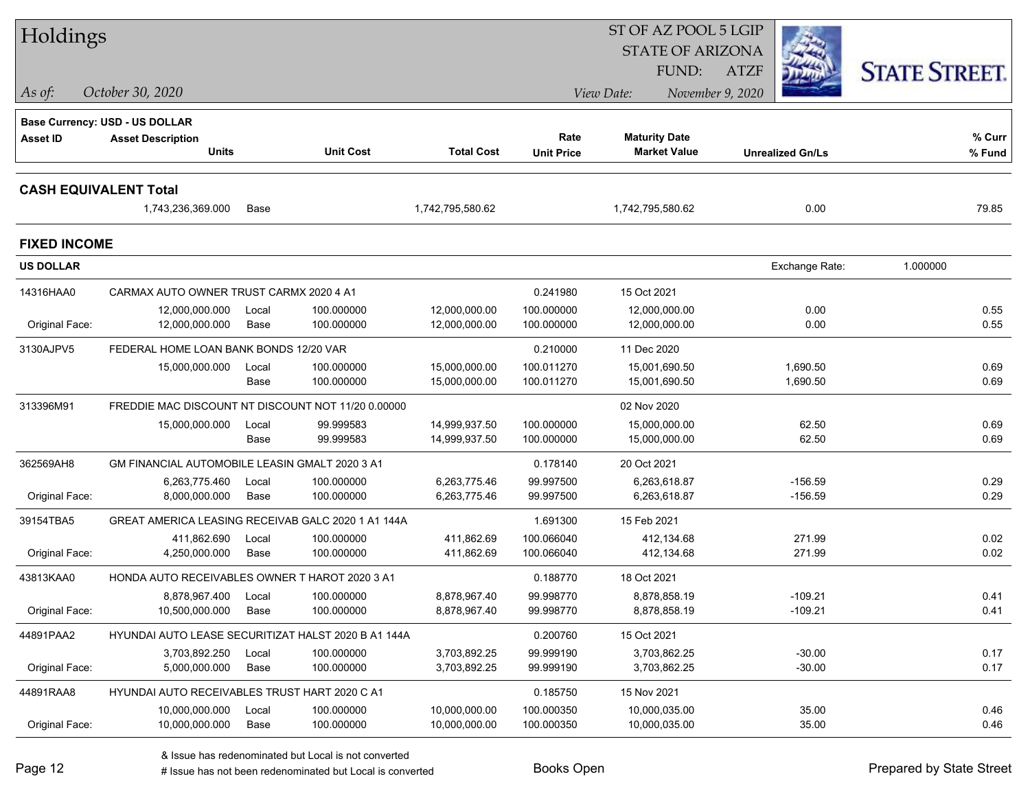| Holdings                     |                                                    |               |                                                     |                                | ST OF AZ POOL 5 LGIP     |                                |                         |                      |  |  |
|------------------------------|----------------------------------------------------|---------------|-----------------------------------------------------|--------------------------------|--------------------------|--------------------------------|-------------------------|----------------------|--|--|
|                              |                                                    |               |                                                     |                                |                          | <b>STATE OF ARIZONA</b>        |                         |                      |  |  |
|                              |                                                    |               |                                                     |                                |                          | FUND:                          | <b>ATZF</b>             | <b>STATE STREET.</b> |  |  |
| As of:                       | October 30, 2020                                   |               |                                                     |                                |                          | View Date:                     | November 9, 2020        |                      |  |  |
|                              | <b>Base Currency: USD - US DOLLAR</b>              |               |                                                     |                                |                          |                                |                         |                      |  |  |
| <b>Asset ID</b>              | <b>Asset Description</b>                           |               |                                                     |                                | Rate                     | <b>Maturity Date</b>           |                         | % Curr               |  |  |
|                              | <b>Units</b>                                       |               | <b>Unit Cost</b>                                    | <b>Total Cost</b>              | <b>Unit Price</b>        | <b>Market Value</b>            | <b>Unrealized Gn/Ls</b> | % Fund               |  |  |
| <b>CASH EQUIVALENT Total</b> |                                                    |               |                                                     |                                |                          |                                |                         |                      |  |  |
|                              | 1,743,236,369.000                                  | Base          |                                                     | 1,742,795,580.62               |                          | 1,742,795,580.62               | 0.00                    | 79.85                |  |  |
| <b>FIXED INCOME</b>          |                                                    |               |                                                     |                                |                          |                                |                         |                      |  |  |
| <b>US DOLLAR</b>             |                                                    |               |                                                     |                                |                          |                                | Exchange Rate:          | 1.000000             |  |  |
| 14316HAA0                    | CARMAX AUTO OWNER TRUST CARMX 2020 4 A1            |               |                                                     |                                | 0.241980                 | 15 Oct 2021                    |                         |                      |  |  |
|                              | 12,000,000.000                                     | Local         | 100.000000                                          | 12,000,000.00                  | 100.000000               | 12,000,000.00                  | 0.00                    | 0.55                 |  |  |
| Original Face:               | 12,000,000.000                                     | Base          | 100.000000                                          | 12,000,000.00                  | 100.000000               | 12,000,000.00                  | 0.00                    | 0.55                 |  |  |
| 3130AJPV5                    | FEDERAL HOME LOAN BANK BONDS 12/20 VAR             |               |                                                     |                                | 0.210000                 | 11 Dec 2020                    |                         |                      |  |  |
|                              | 15,000,000.000                                     | Local<br>Base | 100.000000<br>100.000000                            | 15,000,000.00<br>15,000,000.00 | 100.011270<br>100.011270 | 15,001,690.50<br>15,001,690.50 | 1,690.50<br>1,690.50    | 0.69<br>0.69         |  |  |
| 313396M91                    | FREDDIE MAC DISCOUNT NT DISCOUNT NOT 11/20 0.00000 |               |                                                     |                                |                          | 02 Nov 2020                    |                         |                      |  |  |
|                              | 15,000,000.000                                     | Local         | 99.999583                                           | 14,999,937.50                  | 100.000000               | 15,000,000.00                  | 62.50                   | 0.69                 |  |  |
|                              |                                                    | Base          | 99.999583                                           | 14,999,937.50                  | 100.000000               | 15,000,000.00                  | 62.50                   | 0.69                 |  |  |
| 362569AH8                    | GM FINANCIAL AUTOMOBILE LEASIN GMALT 2020 3 A1     |               |                                                     |                                | 0.178140                 | 20 Oct 2021                    |                         |                      |  |  |
|                              | 6,263,775.460                                      | Local         | 100.000000                                          | 6,263,775.46                   | 99.997500                | 6,263,618.87                   | $-156.59$               | 0.29                 |  |  |
| Original Face:               | 8,000,000.000                                      | Base          | 100.000000                                          | 6,263,775.46                   | 99.997500                | 6,263,618.87                   | $-156.59$               | 0.29                 |  |  |
| 39154TBA5                    | GREAT AMERICA LEASING RECEIVAB GALC 2020 1 A1 144A |               |                                                     |                                | 1.691300                 | 15 Feb 2021                    |                         |                      |  |  |
|                              | 411,862.690                                        | Local         | 100.000000                                          | 411,862.69                     | 100.066040               | 412,134.68                     | 271.99                  | 0.02                 |  |  |
| Original Face:               | 4,250,000.000                                      | Base          | 100.000000                                          | 411,862.69                     | 100.066040               | 412,134.68                     | 271.99                  | 0.02                 |  |  |
| 43813KAA0                    | HONDA AUTO RECEIVABLES OWNER T HAROT 2020 3 A1     |               |                                                     |                                | 0.188770                 | 18 Oct 2021                    |                         |                      |  |  |
|                              | 8,878,967.400                                      | Local         | 100.000000                                          | 8.878.967.40                   | 99.998770                | 8,878,858.19                   | $-109.21$               | 0.41                 |  |  |
| Original Face:               | 10,500,000.000                                     | Base          | 100.000000                                          | 8,878,967.40                   | 99.998770                | 8,878,858.19                   | $-109.21$               | 0.41                 |  |  |
| 44891PAA2                    |                                                    |               | HYUNDAI AUTO LEASE SECURITIZAT HALST 2020 B A1 144A |                                | 0.200760                 | 15 Oct 2021                    |                         |                      |  |  |
|                              | 3,703,892.250                                      | Local         | 100.000000                                          | 3,703,892.25                   | 99.999190                | 3,703,862.25                   | $-30.00$                | 0.17                 |  |  |
| Original Face:               | 5,000,000.000                                      | Base          | 100.000000                                          | 3,703,892.25                   | 99.999190                | 3,703,862.25                   | $-30.00$                | 0.17                 |  |  |
| 44891RAA8                    | HYUNDAI AUTO RECEIVABLES TRUST HART 2020 C A1      |               |                                                     |                                | 0.185750                 | 15 Nov 2021                    |                         |                      |  |  |
|                              | 10,000,000.000                                     | Local         | 100.000000                                          | 10,000,000.00                  | 100.000350               | 10,000,035.00                  | 35.00                   | 0.46                 |  |  |
| Original Face:               | 10,000,000.000                                     | Base          | 100.000000                                          | 10,000,000.00                  | 100.000350               | 10,000,035.00                  | 35.00                   | 0.46                 |  |  |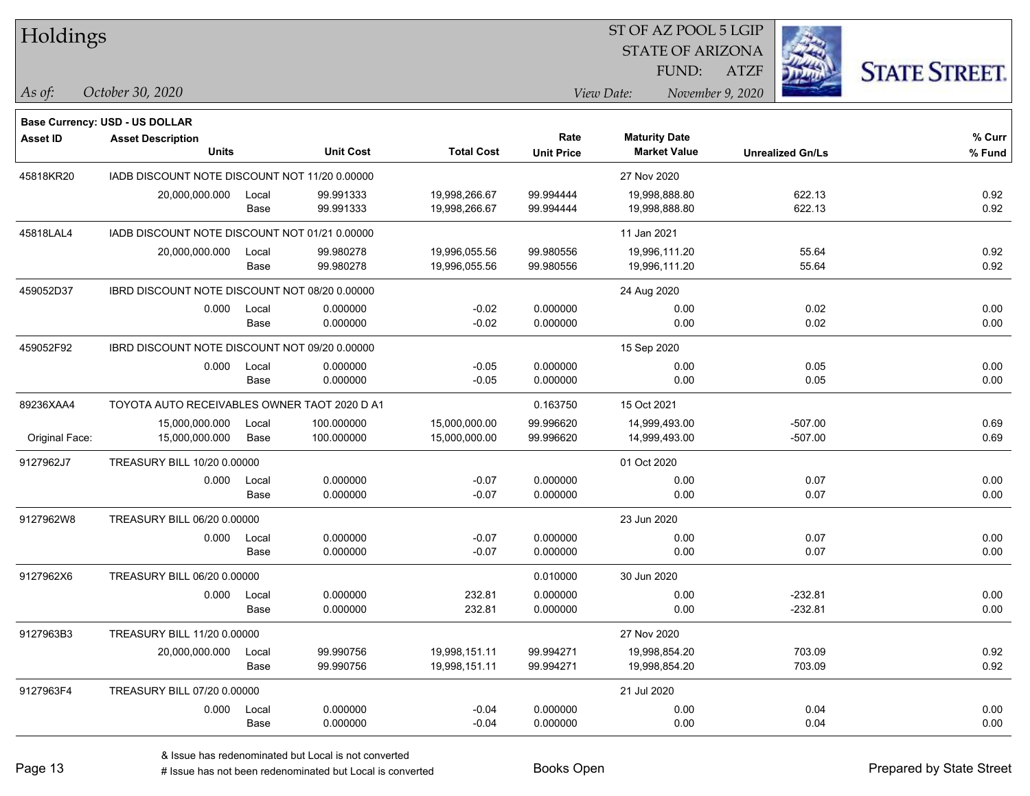| <b>Holdings</b> |                                               |       |                  | 51 OF AZ POOL 5 LGIP |                   |                         |                  |                         |                      |
|-----------------|-----------------------------------------------|-------|------------------|----------------------|-------------------|-------------------------|------------------|-------------------------|----------------------|
|                 |                                               |       |                  |                      |                   | <b>STATE OF ARIZONA</b> |                  | $\frac{1}{2}$           |                      |
|                 |                                               |       |                  |                      |                   | FUND:                   | <b>ATZF</b>      |                         | <b>STATE STREET.</b> |
| As of:          | October 30, 2020                              |       |                  |                      |                   | View Date:              | November 9, 2020 |                         |                      |
|                 | <b>Base Currency: USD - US DOLLAR</b>         |       |                  |                      |                   |                         |                  |                         |                      |
| <b>Asset ID</b> | <b>Asset Description</b>                      |       |                  |                      | Rate              | <b>Maturity Date</b>    |                  |                         | $%$ Curr             |
|                 | <b>Units</b>                                  |       | <b>Unit Cost</b> | <b>Total Cost</b>    | <b>Unit Price</b> | <b>Market Value</b>     |                  | <b>Unrealized Gn/Ls</b> | % Fund               |
| 45818KR20       | IADB DISCOUNT NOTE DISCOUNT NOT 11/20 0.00000 |       |                  |                      |                   | 27 Nov 2020             |                  |                         |                      |
|                 | 20,000,000.000                                | Local | 99.991333        | 19,998,266.67        | 99.994444         | 19,998,888.80           |                  | 622.13                  | 0.92                 |
|                 |                                               | Base  | 99.991333        | 19,998,266.67        | 99.994444         | 19,998,888.80           |                  | 622.13                  | 0.92                 |
| 45818LAL4       | IADB DISCOUNT NOTE DISCOUNT NOT 01/21 0.00000 |       |                  |                      |                   | 11 Jan 2021             |                  |                         |                      |
|                 | 20,000,000.000                                | Local | 99.980278        | 19,996,055.56        | 99.980556         | 19,996,111.20           |                  | 55.64                   | 0.92                 |
|                 |                                               | Base  | 99.980278        | 19,996,055.56        | 99.980556         | 19,996,111.20           |                  | 55.64                   | 0.92                 |
| 459052D37       | IBRD DISCOUNT NOTE DISCOUNT NOT 08/20 0.00000 |       |                  |                      |                   | 24 Aug 2020             |                  |                         |                      |
|                 | 0.000                                         | Local | 0.000000         | $-0.02$              | 0.000000          | 0.00                    |                  | 0.02                    | 0.00                 |
|                 |                                               | Base  | 0.000000         | $-0.02$              | 0.000000          | 0.00                    |                  | 0.02                    | 0.00                 |
| 459052F92       | IBRD DISCOUNT NOTE DISCOUNT NOT 09/20 0.00000 |       |                  |                      |                   | 15 Sep 2020             |                  |                         |                      |
|                 | 0.000                                         | Local | 0.000000         | $-0.05$              | 0.000000          | 0.00                    |                  | 0.05                    | 0.00                 |
|                 |                                               | Base  | 0.000000         | $-0.05$              | 0.000000          | 0.00                    |                  | 0.05                    | 0.00                 |
| 89236XAA4       | TOYOTA AUTO RECEIVABLES OWNER TAOT 2020 D A1  |       |                  |                      | 0.163750          | 15 Oct 2021             |                  |                         |                      |
|                 | 15,000,000.000                                | Local | 100.000000       | 15,000,000.00        | 99.996620         | 14,999,493.00           |                  | $-507.00$               | 0.69                 |
| Original Face:  | 15,000,000.000                                | Base  | 100.000000       | 15,000,000.00        | 99.996620         | 14,999,493.00           |                  | $-507.00$               | 0.69                 |
| 9127962J7       | TREASURY BILL 10/20 0.00000                   |       |                  |                      |                   | 01 Oct 2020             |                  |                         |                      |
|                 | 0.000                                         | Local | 0.000000         | $-0.07$              | 0.000000          | 0.00                    |                  | 0.07                    | 0.00                 |
|                 |                                               | Base  | 0.000000         | $-0.07$              | 0.000000          | 0.00                    |                  | 0.07                    | 0.00                 |
| 9127962W8       | TREASURY BILL 06/20 0.00000                   |       |                  |                      |                   | 23 Jun 2020             |                  |                         |                      |
|                 | 0.000                                         | Local | 0.000000         | $-0.07$              | 0.000000          | 0.00                    |                  | 0.07                    | 0.00                 |
|                 |                                               | Base  | 0.000000         | $-0.07$              | 0.000000          | 0.00                    |                  | 0.07                    | 0.00                 |
| 9127962X6       | TREASURY BILL 06/20 0.00000                   |       |                  |                      | 0.010000          | 30 Jun 2020             |                  |                         |                      |
|                 | 0.000                                         | Local | 0.000000         | 232.81               | 0.000000          | 0.00                    |                  | $-232.81$               | 0.00                 |
|                 |                                               | Base  | 0.000000         | 232.81               | 0.000000          | 0.00                    |                  | $-232.81$               | 0.00                 |
| 9127963B3       | TREASURY BILL 11/20 0.00000                   |       |                  |                      |                   | 27 Nov 2020             |                  |                         |                      |
|                 | 20,000,000.000 Local                          |       | 99.990756        | 19,998,151.11        | 99.994271         | 19,998,854.20           |                  | 703.09                  | 0.92                 |
|                 |                                               | Base  | 99.990756        | 19,998,151.11        | 99.994271         | 19,998,854.20           |                  | 703.09                  | 0.92                 |
| 9127963F4       | TREASURY BILL 07/20 0.00000                   |       |                  |                      |                   | 21 Jul 2020             |                  |                         |                      |
|                 | 0.000                                         | Local | 0.000000         | $-0.04$              | 0.000000          | 0.00                    |                  | 0.04                    | 0.00                 |
|                 |                                               | Base  | 0.000000         | $-0.04$              | 0.000000          | 0.00                    |                  | 0.04                    | 0.00                 |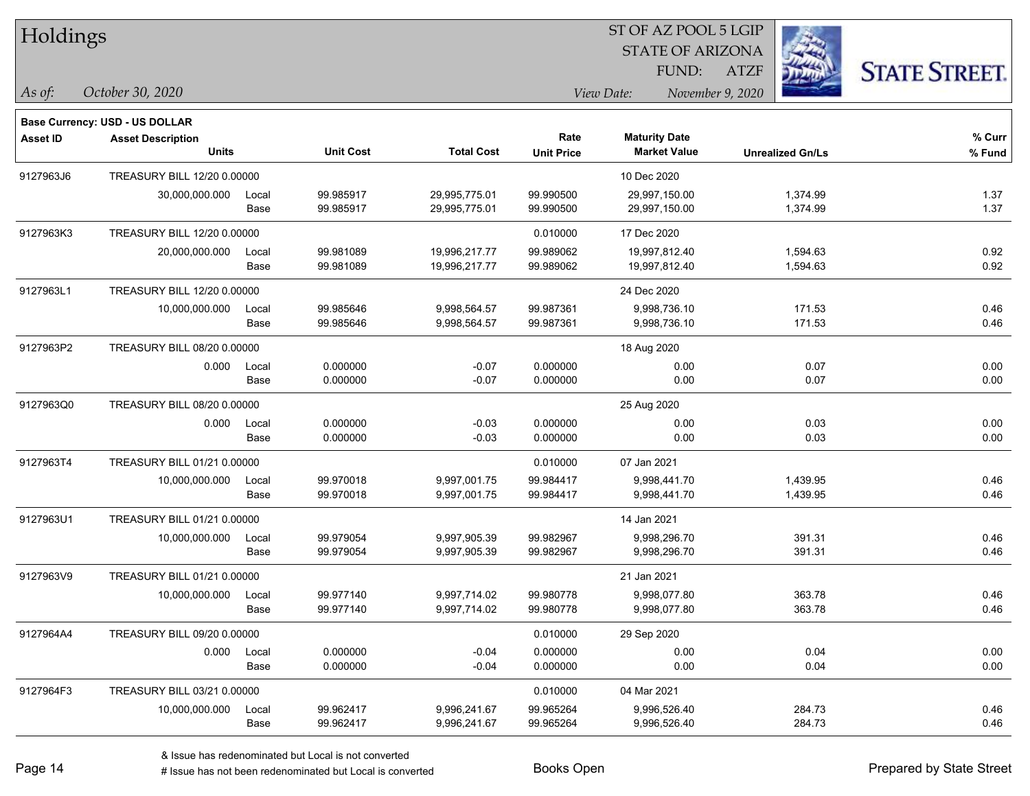## STATE OF ARIZONA ST OF AZ POOL 5 LGIP

ATZF



*October 30, 2020 As of: View Date: November 9, 2020*

**Base Currency: USD - US DOLLAR**

FUND:

| <b>Asset ID</b> | <b>Asset Description</b>    |       |                  |                   | Rate              | <b>Maturity Date</b> |                         | % Curr |
|-----------------|-----------------------------|-------|------------------|-------------------|-------------------|----------------------|-------------------------|--------|
|                 | <b>Units</b>                |       | <b>Unit Cost</b> | <b>Total Cost</b> | <b>Unit Price</b> | <b>Market Value</b>  | <b>Unrealized Gn/Ls</b> | % Fund |
| 9127963J6       | TREASURY BILL 12/20 0.00000 |       |                  |                   |                   | 10 Dec 2020          |                         |        |
|                 | 30,000,000.000              | Local | 99.985917        | 29,995,775.01     | 99.990500         | 29,997,150.00        | 1,374.99                | 1.37   |
|                 |                             | Base  | 99.985917        | 29,995,775.01     | 99.990500         | 29,997,150.00        | 1,374.99                | 1.37   |
| 9127963K3       | TREASURY BILL 12/20 0.00000 |       |                  |                   | 0.010000          | 17 Dec 2020          |                         |        |
|                 | 20,000,000.000              | Local | 99.981089        | 19,996,217.77     | 99.989062         | 19,997,812.40        | 1,594.63                | 0.92   |
|                 |                             | Base  | 99.981089        | 19,996,217.77     | 99.989062         | 19,997,812.40        | 1,594.63                | 0.92   |
| 9127963L1       | TREASURY BILL 12/20 0.00000 |       |                  |                   |                   | 24 Dec 2020          |                         |        |
|                 | 10,000,000.000              | Local | 99.985646        | 9,998,564.57      | 99.987361         | 9,998,736.10         | 171.53                  | 0.46   |
|                 |                             | Base  | 99.985646        | 9,998,564.57      | 99.987361         | 9,998,736.10         | 171.53                  | 0.46   |
| 9127963P2       | TREASURY BILL 08/20 0.00000 |       |                  |                   |                   | 18 Aug 2020          |                         |        |
|                 | 0.000                       | Local | 0.000000         | $-0.07$           | 0.000000          | 0.00                 | 0.07                    | 0.00   |
|                 |                             | Base  | 0.000000         | $-0.07$           | 0.000000          | 0.00                 | 0.07                    | 0.00   |
| 9127963Q0       | TREASURY BILL 08/20 0.00000 |       |                  |                   |                   | 25 Aug 2020          |                         |        |
|                 | 0.000                       | Local | 0.000000         | $-0.03$           | 0.000000          | 0.00                 | 0.03                    | 0.00   |
|                 |                             | Base  | 0.000000         | $-0.03$           | 0.000000          | 0.00                 | 0.03                    | 0.00   |
| 9127963T4       | TREASURY BILL 01/21 0.00000 |       |                  |                   | 0.010000          | 07 Jan 2021          |                         |        |
|                 | 10,000,000.000              | Local | 99.970018        | 9,997,001.75      | 99.984417         | 9,998,441.70         | 1,439.95                | 0.46   |
|                 |                             | Base  | 99.970018        | 9,997,001.75      | 99.984417         | 9,998,441.70         | 1,439.95                | 0.46   |
| 9127963U1       | TREASURY BILL 01/21 0.00000 |       |                  |                   |                   | 14 Jan 2021          |                         |        |
|                 | 10,000,000.000              | Local | 99.979054        | 9,997,905.39      | 99.982967         | 9,998,296.70         | 391.31                  | 0.46   |
|                 |                             | Base  | 99.979054        | 9,997,905.39      | 99.982967         | 9,998,296.70         | 391.31                  | 0.46   |
| 9127963V9       | TREASURY BILL 01/21 0.00000 |       |                  |                   |                   | 21 Jan 2021          |                         |        |
|                 | 10,000,000.000              | Local | 99.977140        | 9,997,714.02      | 99.980778         | 9,998,077.80         | 363.78                  | 0.46   |
|                 |                             | Base  | 99.977140        | 9,997,714.02      | 99.980778         | 9,998,077.80         | 363.78                  | 0.46   |
| 9127964A4       | TREASURY BILL 09/20 0.00000 |       |                  |                   | 0.010000          | 29 Sep 2020          |                         |        |
|                 | 0.000                       | Local | 0.000000         | $-0.04$           | 0.000000          | 0.00                 | 0.04                    | 0.00   |
|                 |                             | Base  | 0.000000         | $-0.04$           | 0.000000          | 0.00                 | 0.04                    | 0.00   |
| 9127964F3       | TREASURY BILL 03/21 0.00000 |       |                  |                   | 0.010000          | 04 Mar 2021          |                         |        |
|                 | 10,000,000.000              | Local | 99.962417        | 9,996,241.67      | 99.965264         | 9,996,526.40         | 284.73                  | 0.46   |
|                 |                             | Base  | 99.962417        | 9,996,241.67      | 99.965264         | 9,996,526.40         | 284.73                  | 0.46   |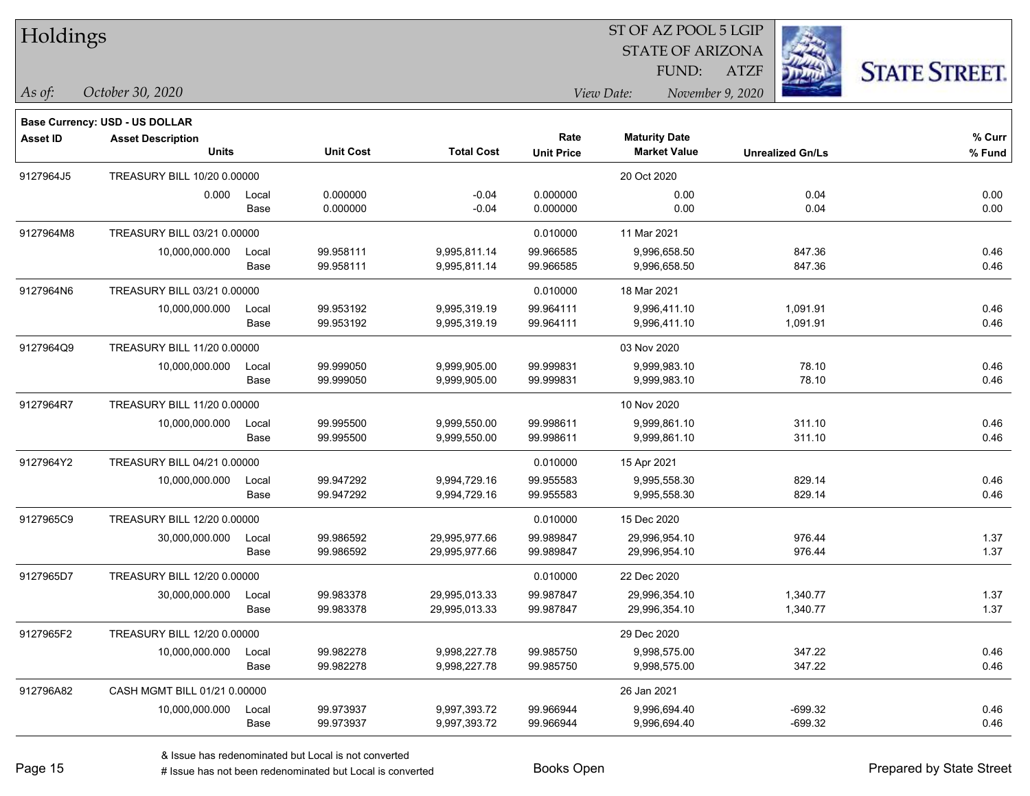| Holdings |  |
|----------|--|
|----------|--|

#### STATE OF ARIZONA ATZF ST OF AZ POOL 5 LGIP FUND:



*As of: View Date: November 9, 2020*

| October 30, 2020<br>رs of: |
|----------------------------|
|----------------------------|

|           | Base Currency: USD - US DOLLAR           |               |                        |                                |                           |                                             |                         |                  |
|-----------|------------------------------------------|---------------|------------------------|--------------------------------|---------------------------|---------------------------------------------|-------------------------|------------------|
| Asset ID  | <b>Asset Description</b><br><b>Units</b> |               | <b>Unit Cost</b>       | <b>Total Cost</b>              | Rate<br><b>Unit Price</b> | <b>Maturity Date</b><br><b>Market Value</b> | <b>Unrealized Gn/Ls</b> | % Curr<br>% Fund |
| 9127964J5 | TREASURY BILL 10/20 0.00000              |               |                        |                                |                           | 20 Oct 2020                                 |                         |                  |
|           | 0.000                                    | Local<br>Base | 0.000000<br>0.000000   | $-0.04$<br>$-0.04$             | 0.000000<br>0.000000      | 0.00<br>0.00                                | 0.04<br>0.04            | 0.00<br>0.00     |
| 9127964M8 | TREASURY BILL 03/21 0.00000              |               |                        |                                | 0.010000                  | 11 Mar 2021                                 |                         |                  |
|           | 10,000,000.000                           | Local<br>Base | 99.958111<br>99.958111 | 9,995,811.14<br>9,995,811.14   | 99.966585<br>99.966585    | 9,996,658.50<br>9,996,658.50                | 847.36<br>847.36        | 0.46<br>0.46     |
| 9127964N6 | TREASURY BILL 03/21 0.00000              |               |                        |                                | 0.010000                  | 18 Mar 2021                                 |                         |                  |
|           | 10,000,000.000                           | Local<br>Base | 99.953192<br>99.953192 | 9,995,319.19<br>9,995,319.19   | 99.964111<br>99.964111    | 9,996,411.10<br>9,996,411.10                | 1,091.91<br>1,091.91    | 0.46<br>0.46     |
| 9127964Q9 | TREASURY BILL 11/20 0.00000              |               |                        |                                |                           | 03 Nov 2020                                 |                         |                  |
|           | 10,000,000.000                           | Local<br>Base | 99.999050<br>99.999050 | 9,999,905.00<br>9,999,905.00   | 99.999831<br>99.999831    | 9,999,983.10<br>9,999,983.10                | 78.10<br>78.10          | 0.46<br>0.46     |
| 9127964R7 | TREASURY BILL 11/20 0.00000              |               |                        |                                |                           | 10 Nov 2020                                 |                         |                  |
|           | 10,000,000.000                           | Local<br>Base | 99.995500<br>99.995500 | 9,999,550.00<br>9,999,550.00   | 99.998611<br>99.998611    | 9,999,861.10<br>9,999,861.10                | 311.10<br>311.10        | 0.46<br>0.46     |
| 9127964Y2 | TREASURY BILL 04/21 0.00000              |               |                        |                                | 0.010000                  | 15 Apr 2021                                 |                         |                  |
|           | 10,000,000.000                           | Local<br>Base | 99.947292<br>99.947292 | 9,994,729.16<br>9,994,729.16   | 99.955583<br>99.955583    | 9,995,558.30<br>9,995,558.30                | 829.14<br>829.14        | 0.46<br>0.46     |
| 9127965C9 | TREASURY BILL 12/20 0.00000              |               |                        |                                | 0.010000                  | 15 Dec 2020                                 |                         |                  |
|           | 30,000,000.000                           | Local<br>Base | 99.986592<br>99.986592 | 29,995,977.66<br>29,995,977.66 | 99.989847<br>99.989847    | 29,996,954.10<br>29,996,954.10              | 976.44<br>976.44        | 1.37<br>1.37     |
| 9127965D7 | TREASURY BILL 12/20 0.00000              |               |                        |                                | 0.010000                  | 22 Dec 2020                                 |                         |                  |
|           | 30,000,000.000                           | Local<br>Base | 99.983378<br>99.983378 | 29,995,013.33<br>29,995,013.33 | 99.987847<br>99.987847    | 29,996,354.10<br>29,996,354.10              | 1,340.77<br>1,340.77    | 1.37<br>1.37     |
| 9127965F2 | TREASURY BILL 12/20 0.00000              |               |                        |                                |                           | 29 Dec 2020                                 |                         |                  |
|           | 10,000,000.000                           | Local<br>Base | 99.982278<br>99.982278 | 9,998,227.78<br>9,998,227.78   | 99.985750<br>99.985750    | 9,998,575.00<br>9,998,575.00                | 347.22<br>347.22        | 0.46<br>0.46     |
| 912796A82 | CASH MGMT BILL 01/21 0.00000             |               |                        |                                |                           | 26 Jan 2021                                 |                         |                  |
|           | 10,000,000.000                           | Local<br>Base | 99.973937<br>99.973937 | 9,997,393.72<br>9,997,393.72   | 99.966944<br>99.966944    | 9,996,694.40<br>9,996,694.40                | $-699.32$<br>$-699.32$  | 0.46<br>0.46     |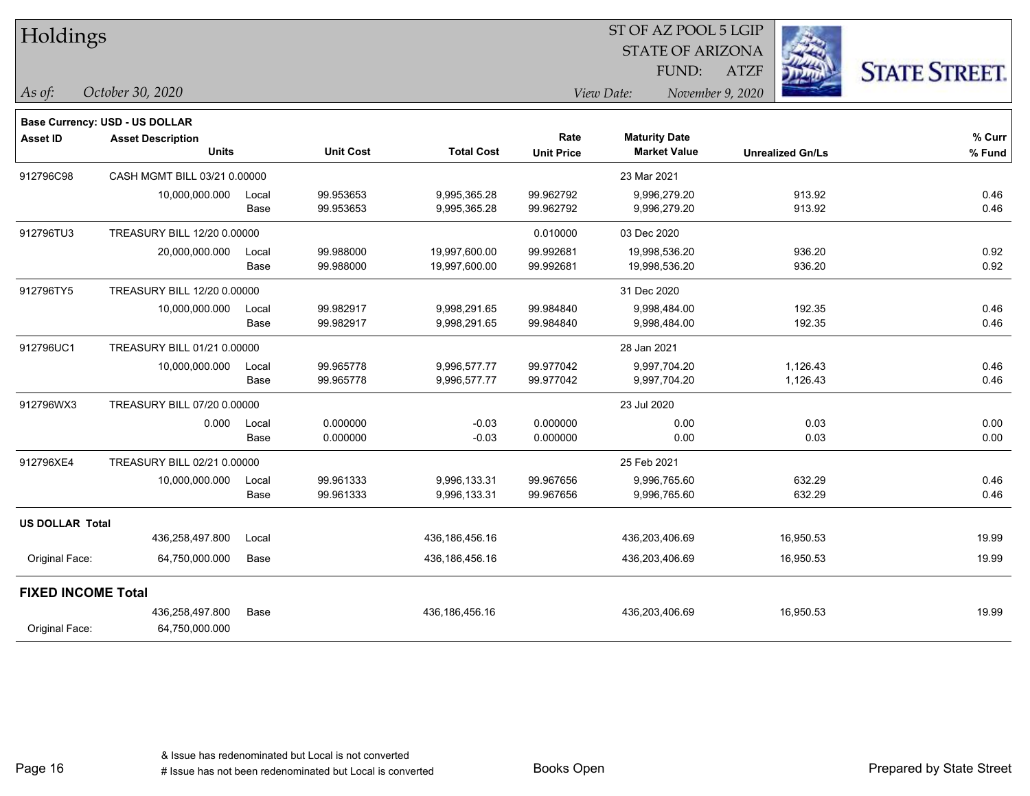| Holdings                  |                                          |               |                        |                              |                        | ST OF AZ POOL 5 LGIP                        |                         |                      |  |
|---------------------------|------------------------------------------|---------------|------------------------|------------------------------|------------------------|---------------------------------------------|-------------------------|----------------------|--|
|                           |                                          |               |                        |                              |                        | <b>STATE OF ARIZONA</b>                     |                         |                      |  |
|                           |                                          |               |                        |                              |                        | FUND:                                       | <b>ATZF</b>             | <b>STATE STREET.</b> |  |
| As of:                    | October 30, 2020                         |               |                        |                              |                        | View Date:                                  | November 9, 2020        |                      |  |
|                           | <b>Base Currency: USD - US DOLLAR</b>    |               |                        |                              |                        |                                             |                         |                      |  |
| <b>Asset ID</b>           | <b>Asset Description</b><br><b>Units</b> |               | <b>Unit Cost</b>       | <b>Total Cost</b>            | Rate                   | <b>Maturity Date</b><br><b>Market Value</b> |                         | % Curr               |  |
|                           |                                          |               |                        |                              | <b>Unit Price</b>      |                                             | <b>Unrealized Gn/Ls</b> | % Fund               |  |
| 912796C98                 | CASH MGMT BILL 03/21 0.00000             |               |                        |                              |                        | 23 Mar 2021                                 |                         |                      |  |
|                           | 10,000,000.000                           | Local<br>Base | 99.953653<br>99.953653 | 9,995,365.28<br>9,995,365.28 | 99.962792<br>99.962792 | 9,996,279.20<br>9,996,279.20                | 913.92<br>913.92        | 0.46<br>0.46         |  |
|                           |                                          |               |                        |                              |                        |                                             |                         |                      |  |
| 912796TU3                 | TREASURY BILL 12/20 0.00000              |               |                        |                              | 0.010000               | 03 Dec 2020                                 |                         |                      |  |
|                           | 20,000,000.000                           | Local         | 99.988000              | 19,997,600.00                | 99.992681              | 19,998,536.20                               | 936.20                  | 0.92                 |  |
|                           |                                          | Base          | 99.988000              | 19,997,600.00                | 99.992681              | 19,998,536.20                               | 936.20                  | 0.92                 |  |
| 912796TY5                 | TREASURY BILL 12/20 0.00000              |               |                        |                              |                        | 31 Dec 2020                                 |                         |                      |  |
|                           | 10,000,000.000                           | Local         | 99.982917              | 9,998,291.65                 | 99.984840              | 9,998,484.00                                | 192.35                  | 0.46                 |  |
|                           |                                          | Base          | 99.982917              | 9,998,291.65                 | 99.984840              | 9,998,484.00                                | 192.35                  | 0.46                 |  |
| 912796UC1                 | TREASURY BILL 01/21 0.00000              |               |                        |                              |                        | 28 Jan 2021                                 |                         |                      |  |
|                           | 10,000,000.000                           | Local         | 99.965778              | 9,996,577.77                 | 99.977042              | 9,997,704.20                                | 1,126.43                | 0.46                 |  |
|                           |                                          | Base          | 99.965778              | 9,996,577.77                 | 99.977042              | 9,997,704.20                                | 1,126.43                | 0.46                 |  |
| 912796WX3                 | TREASURY BILL 07/20 0.00000              |               |                        |                              |                        | 23 Jul 2020                                 |                         |                      |  |
|                           | 0.000                                    | Local         | 0.000000               | $-0.03$                      | 0.000000               | 0.00                                        | 0.03                    | 0.00                 |  |
|                           |                                          | Base          | 0.000000               | $-0.03$                      | 0.000000               | 0.00                                        | 0.03                    | 0.00                 |  |
| 912796XE4                 | TREASURY BILL 02/21 0.00000              |               |                        |                              |                        | 25 Feb 2021                                 |                         |                      |  |
|                           | 10,000,000.000                           | Local         | 99.961333              | 9,996,133.31                 | 99.967656              | 9,996,765.60                                | 632.29                  | 0.46                 |  |
|                           |                                          | Base          | 99.961333              | 9,996,133.31                 | 99.967656              | 9,996,765.60                                | 632.29                  | 0.46                 |  |
| <b>US DOLLAR Total</b>    |                                          |               |                        |                              |                        |                                             |                         |                      |  |
|                           | 436,258,497.800                          | Local         |                        | 436,186,456.16               |                        | 436,203,406.69                              | 16,950.53               | 19.99                |  |
| Original Face:            | 64,750,000.000                           | Base          |                        | 436, 186, 456. 16            |                        | 436,203,406.69                              | 16,950.53               | 19.99                |  |
| <b>FIXED INCOME Total</b> |                                          |               |                        |                              |                        |                                             |                         |                      |  |
|                           | 436,258,497.800                          | Base          |                        | 436,186,456.16               |                        | 436,203,406.69                              | 16,950.53               | 19.99                |  |
| Original Face:            | 64,750,000.000                           |               |                        |                              |                        |                                             |                         |                      |  |

Page 16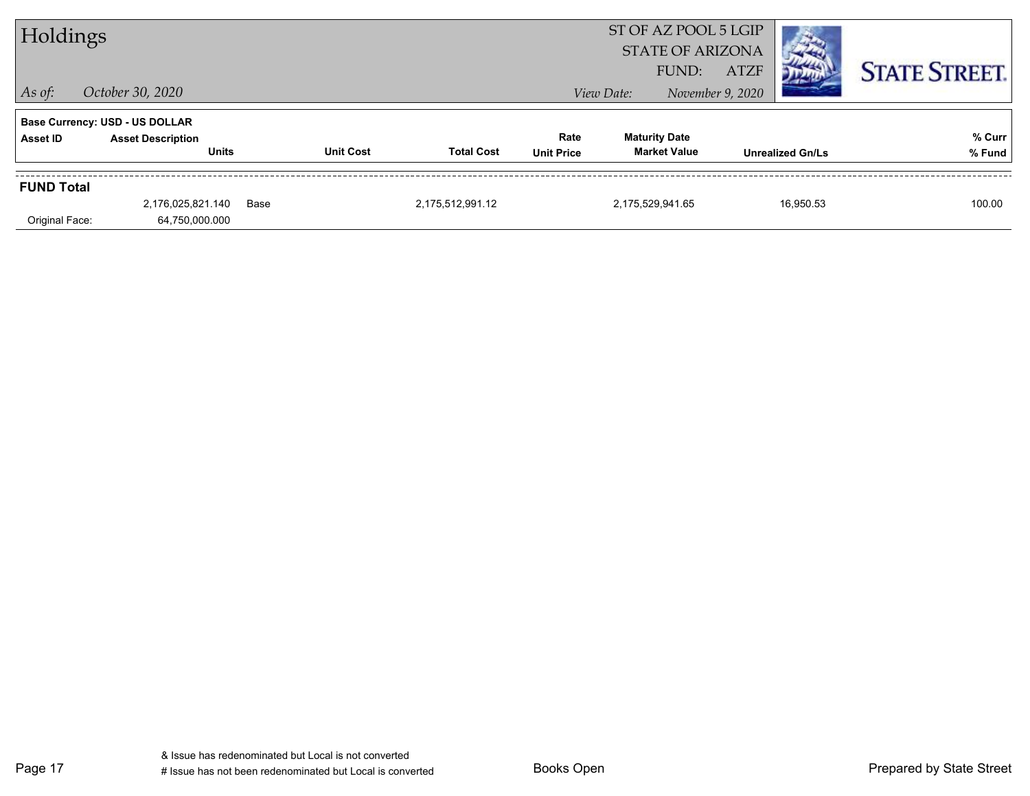| Holdings          |                                          |      |                  |                   |                           | FUND:                                       | ST OF AZ POOL 5 LGIP<br><b>STATE OF ARIZONA</b><br><b>ATZF</b> |                         | <b>STATE STREET.</b> |
|-------------------|------------------------------------------|------|------------------|-------------------|---------------------------|---------------------------------------------|----------------------------------------------------------------|-------------------------|----------------------|
| $ $ As of:        | October 30, 2020                         |      |                  |                   |                           | View Date:                                  | November 9, 2020                                               |                         |                      |
|                   | <b>Base Currency: USD - US DOLLAR</b>    |      |                  |                   |                           |                                             |                                                                |                         |                      |
| <b>Asset ID</b>   | <b>Asset Description</b><br><b>Units</b> |      | <b>Unit Cost</b> | <b>Total Cost</b> | Rate<br><b>Unit Price</b> | <b>Maturity Date</b><br><b>Market Value</b> |                                                                | <b>Unrealized Gn/Ls</b> | % Curr<br>% Fund     |
| <b>FUND Total</b> |                                          |      |                  |                   |                           |                                             |                                                                |                         |                      |
| Original Face:    | 2,176,025,821.140<br>64,750,000.000      | Base |                  | 2,175,512,991.12  |                           | 2,175,529,941.65                            |                                                                | 16,950.53               | 100.00               |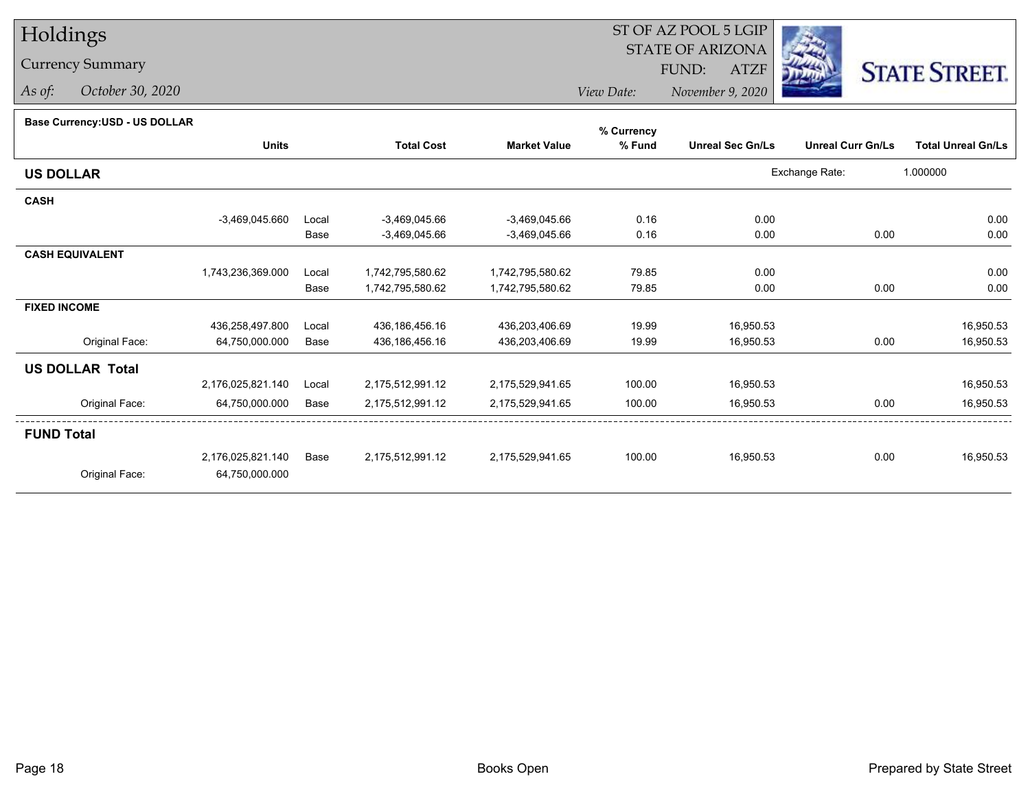# Holdings

## Currency Summary

*As of: October 30, 2020*

#### ST OF AZ POOL 5 LGIP STATE OF ARIZONAATZF FUND:



*View Date:November 9, 2020*

### **Base Currency:USD - US DOLLAR**

|                        |                   |       |                   |                     | % Currency |                         |                          |                           |
|------------------------|-------------------|-------|-------------------|---------------------|------------|-------------------------|--------------------------|---------------------------|
|                        | <b>Units</b>      |       | <b>Total Cost</b> | <b>Market Value</b> | % Fund     | <b>Unreal Sec Gn/Ls</b> | <b>Unreal Curr Gn/Ls</b> | <b>Total Unreal Gn/Ls</b> |
| <b>US DOLLAR</b>       |                   |       |                   |                     |            |                         | Exchange Rate:           | 1.000000                  |
| <b>CASH</b>            |                   |       |                   |                     |            |                         |                          |                           |
|                        | $-3,469,045.660$  | Local | -3,469,045.66     | $-3,469,045.66$     | 0.16       | 0.00                    |                          | 0.00                      |
|                        |                   | Base  | -3,469,045.66     | $-3,469,045.66$     | 0.16       | 0.00                    | 0.00                     | 0.00                      |
| <b>CASH EQUIVALENT</b> |                   |       |                   |                     |            |                         |                          |                           |
|                        | 1,743,236,369.000 | Local | 1,742,795,580.62  | 1,742,795,580.62    | 79.85      | 0.00                    |                          | 0.00                      |
|                        |                   | Base  | 1,742,795,580.62  | 1,742,795,580.62    | 79.85      | 0.00                    | 0.00                     | 0.00                      |
| <b>FIXED INCOME</b>    |                   |       |                   |                     |            |                         |                          |                           |
|                        | 436,258,497.800   | Local | 436,186,456.16    | 436,203,406.69      | 19.99      | 16,950.53               |                          | 16,950.53                 |
| Original Face:         | 64,750,000.000    | Base  | 436,186,456.16    | 436,203,406.69      | 19.99      | 16,950.53               | 0.00                     | 16,950.53                 |
| <b>US DOLLAR Total</b> |                   |       |                   |                     |            |                         |                          |                           |
|                        | 2,176,025,821.140 | Local | 2,175,512,991.12  | 2,175,529,941.65    | 100.00     | 16,950.53               |                          | 16,950.53                 |
| Original Face:         | 64,750,000.000    | Base  | 2,175,512,991.12  | 2,175,529,941.65    | 100.00     | 16,950.53               | 0.00                     | 16,950.53                 |
| <b>FUND Total</b>      |                   |       |                   |                     |            |                         |                          |                           |
|                        | 2,176,025,821.140 | Base  | 2,175,512,991.12  | 2,175,529,941.65    | 100.00     | 16,950.53               | 0.00                     | 16,950.53                 |
| Original Face:         | 64,750,000.000    |       |                   |                     |            |                         |                          |                           |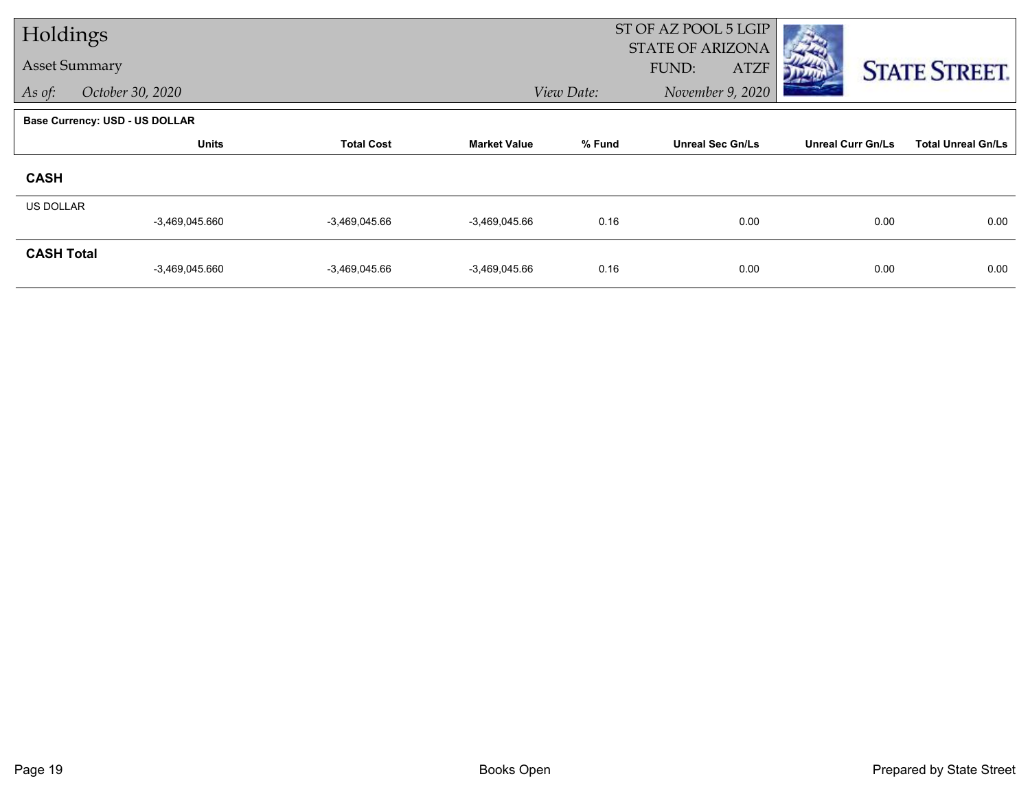| Holdings             |                                       |                   |                     |            | ST OF AZ POOL 5 LGIP<br><b>STATE OF ARIZONA</b> |                          |                           |
|----------------------|---------------------------------------|-------------------|---------------------|------------|-------------------------------------------------|--------------------------|---------------------------|
| <b>Asset Summary</b> |                                       |                   |                     |            | FUND:<br><b>ATZF</b>                            |                          | <b>STATE STREET.</b>      |
| As of:               | October 30, 2020                      |                   |                     | View Date: | November 9, 2020                                |                          |                           |
|                      | <b>Base Currency: USD - US DOLLAR</b> |                   |                     |            |                                                 |                          |                           |
|                      | <b>Units</b>                          | <b>Total Cost</b> | <b>Market Value</b> | % Fund     | <b>Unreal Sec Gn/Ls</b>                         | <b>Unreal Curr Gn/Ls</b> | <b>Total Unreal Gn/Ls</b> |
| <b>CASH</b>          |                                       |                   |                     |            |                                                 |                          |                           |
| <b>US DOLLAR</b>     | $-3,469,045.660$                      | $-3,469,045.66$   | $-3,469,045.66$     | 0.16       | 0.00                                            | 0.00                     | 0.00                      |
| <b>CASH Total</b>    | $-3,469,045.660$                      | $-3,469,045.66$   | $-3,469,045.66$     | 0.16       | 0.00                                            | 0.00                     | 0.00                      |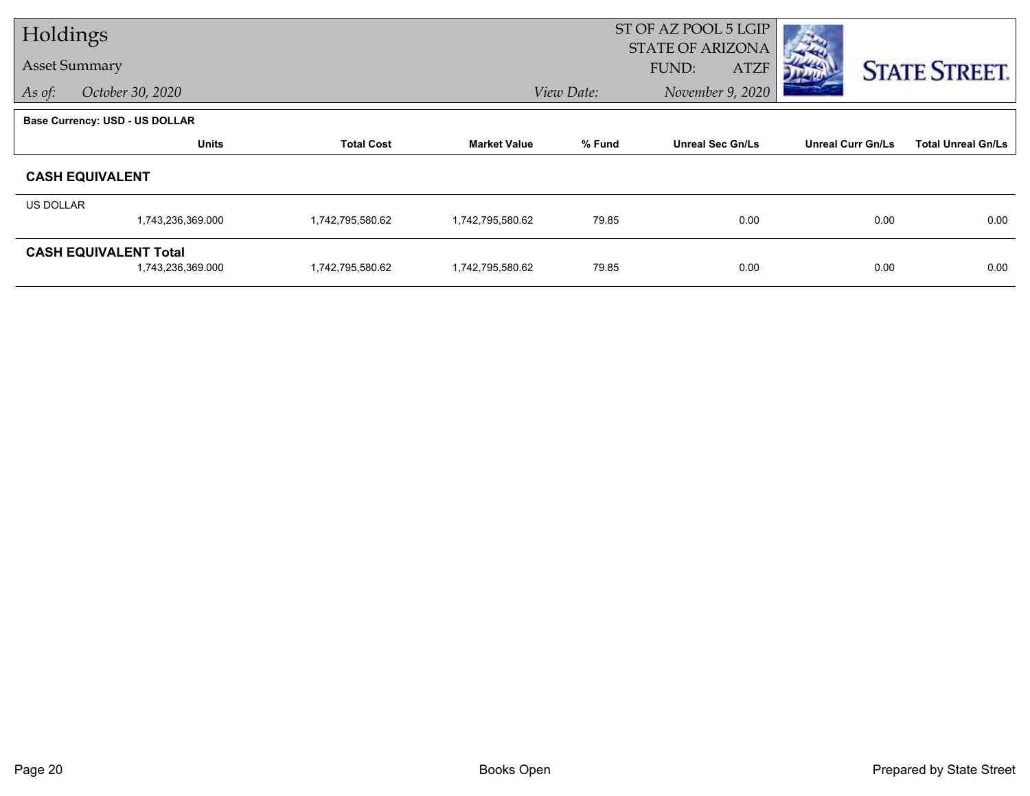| Holdings  |                                                   |                   |                     |            | ST OF AZ POOL 5 LGIP<br><b>STATE OF ARIZONA</b> |                          |                           |
|-----------|---------------------------------------------------|-------------------|---------------------|------------|-------------------------------------------------|--------------------------|---------------------------|
|           | <b>Asset Summary</b>                              |                   |                     |            | <b>ATZF</b><br><b>FUND:</b>                     |                          | <b>STATE STREET.</b>      |
| As of:    | October 30, 2020                                  |                   |                     | View Date: | November 9, 2020                                |                          |                           |
|           | <b>Base Currency: USD - US DOLLAR</b>             |                   |                     |            |                                                 |                          |                           |
|           | <b>Units</b>                                      | <b>Total Cost</b> | <b>Market Value</b> | % Fund     | <b>Unreal Sec Gn/Ls</b>                         | <b>Unreal Curr Gn/Ls</b> | <b>Total Unreal Gn/Ls</b> |
|           | <b>CASH EQUIVALENT</b>                            |                   |                     |            |                                                 |                          |                           |
| US DOLLAR |                                                   |                   |                     |            |                                                 |                          |                           |
|           | 1,743,236,369.000                                 | 1,742,795,580.62  | 1,742,795,580.62    | 79.85      | 0.00                                            | 0.00                     | 0.00                      |
|           | <b>CASH EQUIVALENT Total</b><br>1,743,236,369.000 | 1,742,795,580.62  | 1,742,795,580.62    | 79.85      | 0.00                                            | 0.00                     | 0.00                      |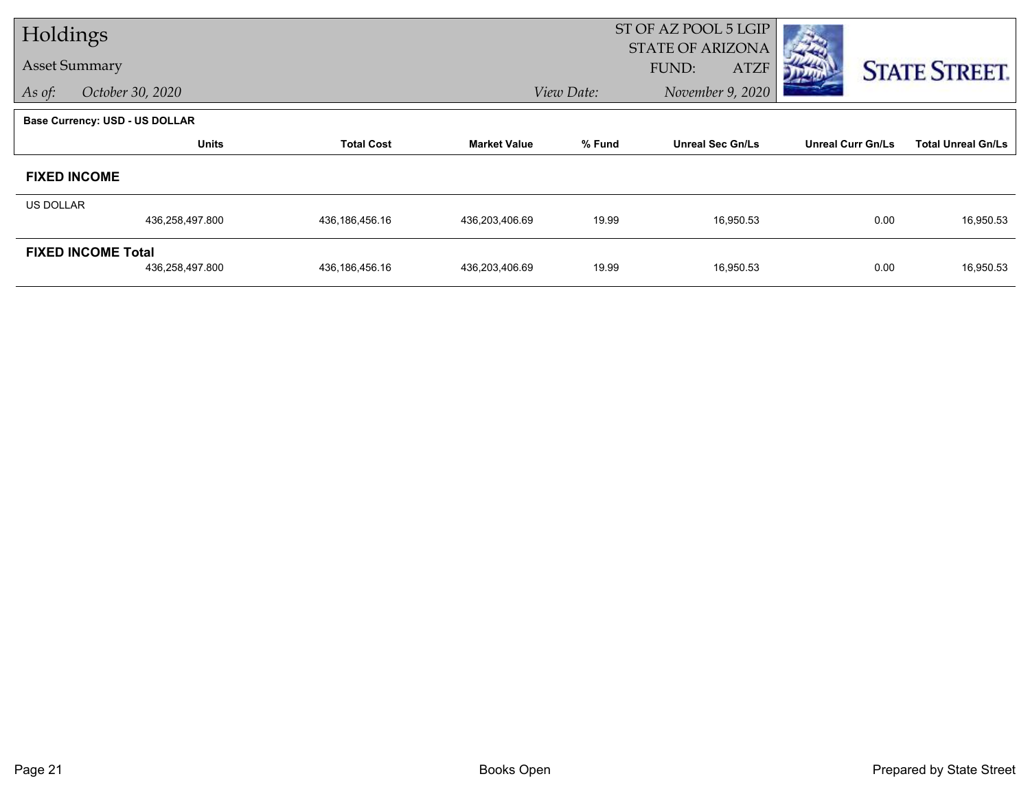| Holdings         |                                              |                   |                     |            | ST OF AZ POOL 5 LGIP                            |                          |                           |
|------------------|----------------------------------------------|-------------------|---------------------|------------|-------------------------------------------------|--------------------------|---------------------------|
|                  | <b>Asset Summary</b>                         |                   |                     |            | <b>STATE OF ARIZONA</b><br>FUND:<br><b>ATZF</b> |                          | <b>STATE STREET.</b>      |
| As of:           | October 30, 2020                             |                   |                     | View Date: | November 9, 2020                                |                          |                           |
|                  | <b>Base Currency: USD - US DOLLAR</b>        |                   |                     |            |                                                 |                          |                           |
|                  | <b>Units</b>                                 | <b>Total Cost</b> | <b>Market Value</b> | % Fund     | <b>Unreal Sec Gn/Ls</b>                         | <b>Unreal Curr Gn/Ls</b> | <b>Total Unreal Gn/Ls</b> |
|                  | <b>FIXED INCOME</b>                          |                   |                     |            |                                                 |                          |                           |
| <b>US DOLLAR</b> |                                              |                   |                     |            |                                                 |                          |                           |
|                  | 436,258,497.800                              | 436,186,456.16    | 436,203,406.69      | 19.99      | 16,950.53                                       | 0.00                     | 16,950.53                 |
|                  | <b>FIXED INCOME Total</b><br>436,258,497.800 | 436,186,456.16    | 436,203,406.69      | 19.99      | 16,950.53                                       | 0.00                     | 16,950.53                 |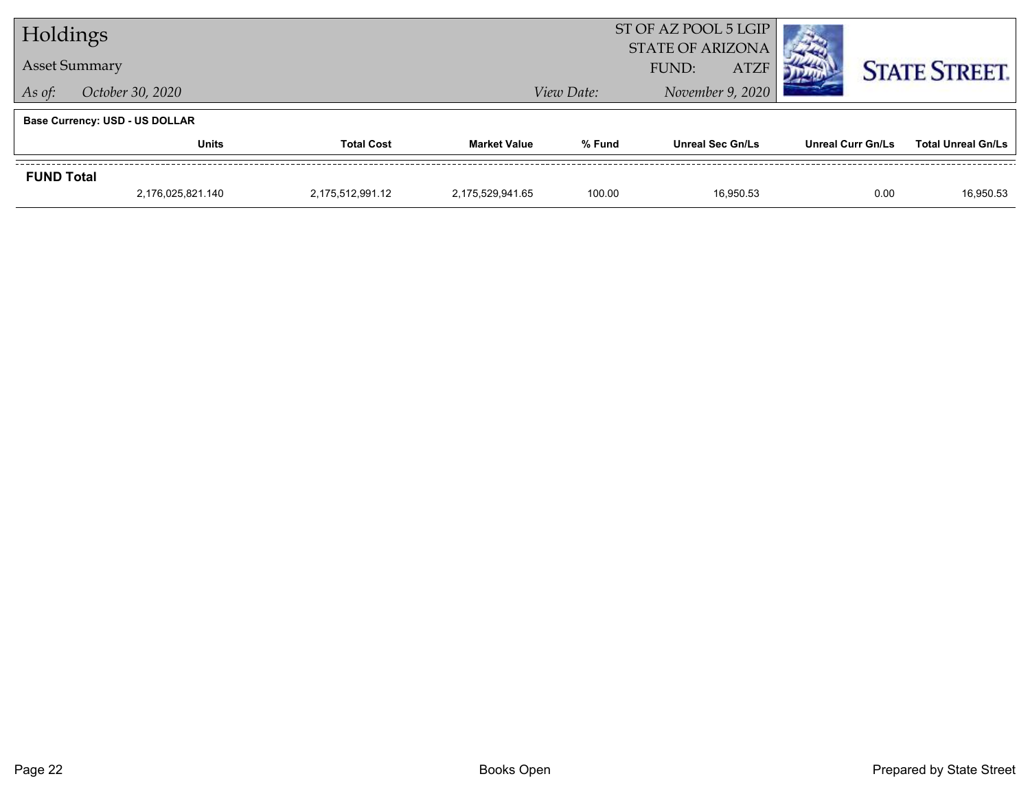| Holdings                              |                      |                   | ST OF AZ POOL 5 LGIP<br><b>STATE OF ARIZONA</b> |            |                         |  |                          |      |                           |
|---------------------------------------|----------------------|-------------------|-------------------------------------------------|------------|-------------------------|--|--------------------------|------|---------------------------|
|                                       | <b>Asset Summary</b> |                   | FUND:<br><b>ATZF</b>                            |            | <b>STATE STREET.</b>    |  |                          |      |                           |
| As of:                                | October 30, 2020     |                   |                                                 | View Date: | November 9, 2020        |  |                          |      |                           |
| <b>Base Currency: USD - US DOLLAR</b> |                      |                   |                                                 |            |                         |  |                          |      |                           |
|                                       | <b>Units</b>         | <b>Total Cost</b> | <b>Market Value</b>                             | % Fund     | <b>Unreal Sec Gn/Ls</b> |  | <b>Unreal Curr Gn/Ls</b> |      | <b>Total Unreal Gn/Ls</b> |
| <b>FUND Total</b>                     |                      |                   |                                                 |            |                         |  |                          |      |                           |
|                                       | 2.176.025.821.140    | 2,175,512,991.12  | 2.175.529.941.65                                | 100.00     | 16.950.53               |  |                          | 0.00 | 16,950.53                 |